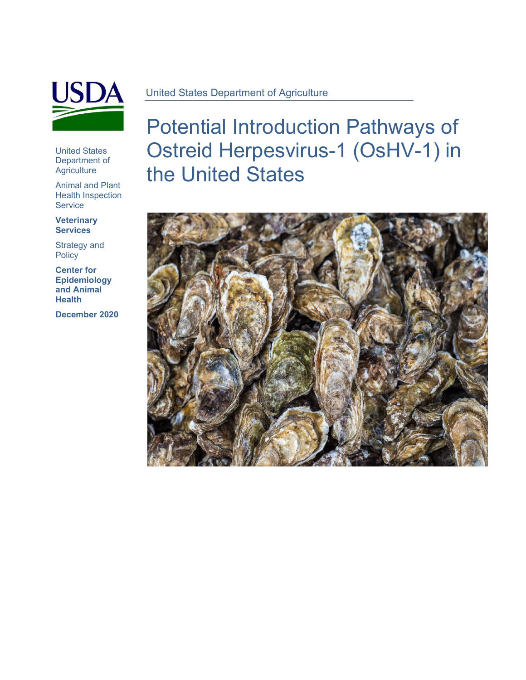

United States Department of **Agriculture** 

Animal and Plant Health Inspection **Service** 

**Veterinary Services**

Strategy and **Policy** 

**Center for Epidemiology and Animal Health**

**December 2020**

Potential Introduction Pathways of Ostreid Herpesvirus-1 (OsHV-1) in the United States

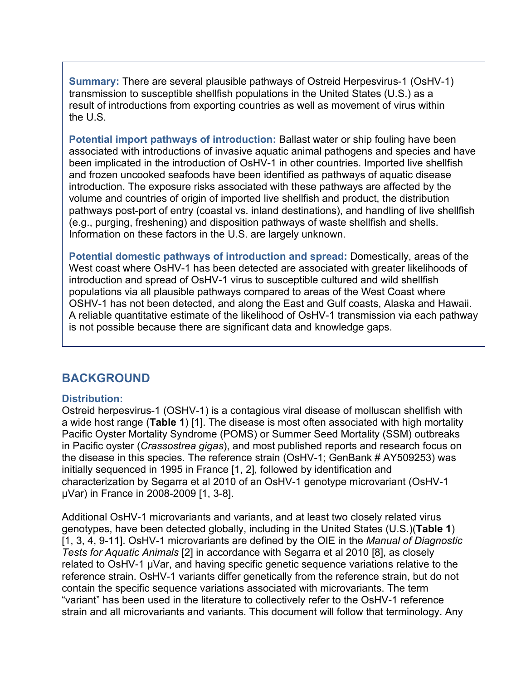**Summary:** There are several plausible pathways of Ostreid Herpesvirus-1 (OsHV-1) transmission to susceptible shellfish populations in the United States (U.S.) as a result of introductions from exporting countries as well as movement of virus within the U.S.

**Potential import pathways of introduction:** Ballast water or ship fouling have been associated with introductions of invasive aquatic animal pathogens and species and have been implicated in the introduction of OsHV-1 in other countries. Imported live shellfish and frozen uncooked seafoods have been identified as pathways of aquatic disease introduction. The exposure risks associated with these pathways are affected by the volume and countries of origin of imported live shellfish and product, the distribution pathways post-port of entry (coastal vs. inland destinations), and handling of live shellfish (e.g., purging, freshening) and disposition pathways of waste shellfish and shells. Information on these factors in the U.S. are largely unknown.

**Potential domestic pathways of introduction and spread:** Domestically, areas of the West coast where OsHV-1 has been detected are associated with greater likelihoods of introduction and spread of OsHV-1 virus to susceptible cultured and wild shellfish populations via all plausible pathways compared to areas of the West Coast where OSHV-1 has not been detected, and along the East and Gulf coasts, Alaska and Hawaii. A reliable quantitative estimate of the likelihood of OsHV-1 transmission via each pathway is not possible because there are significant data and knowledge gaps.

## **BACKGROUND**

### **Distribution:**

Ostreid herpesvirus-1 (OSHV-1) is a contagious viral disease of molluscan shellfish with a wide host range (**Table 1**) [1]. The disease is most often associated with high mortality Pacific Oyster Mortality Syndrome (POMS) or Summer Seed Mortality (SSM) outbreaks in Pacific oyster (*Crassostrea gigas*), and most published reports and research focus on the disease in this species. The reference strain (OsHV-1; GenBank # AY509253) was initially sequenced in 1995 in France [1, 2], followed by identification and characterization by Segarra et al 2010 of an OsHV-1 genotype microvariant (OsHV-1 µVar) in France in 2008-2009 [1, 3-8].

Additional OsHV-1 microvariants and variants, and at least two closely related virus genotypes, have been detected globally, including in the United States (U.S.)(**Table 1**) [1, 3, 4, 9-11]. OsHV-1 microvariants are defined by the OIE in the *Manual of Diagnostic Tests for Aquatic Animals* [2] in accordance with Segarra et al 2010 [8], as closely related to OsHV-1 µVar, and having specific genetic sequence variations relative to the reference strain. OsHV-1 variants differ genetically from the reference strain, but do not contain the specific sequence variations associated with microvariants. The term "variant" has been used in the literature to collectively refer to the OsHV-1 reference strain and all microvariants and variants. This document will follow that terminology. Any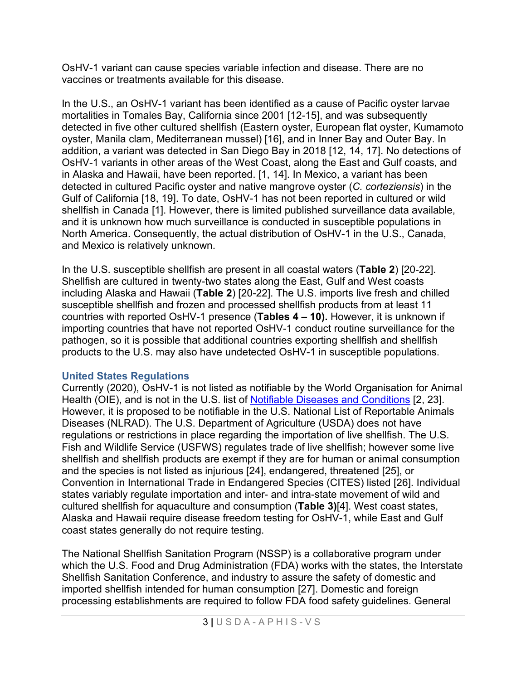OsHV-1 variant can cause species variable infection and disease. There are no vaccines or treatments available for this disease.

In the U.S., an OsHV-1 variant has been identified as a cause of Pacific oyster larvae mortalities in Tomales Bay, California since 2001 [12-15], and was subsequently detected in five other cultured shellfish (Eastern oyster, European flat oyster, Kumamoto oyster, Manila clam, Mediterranean mussel) [16], and in Inner Bay and Outer Bay. In addition, a variant was detected in San Diego Bay in 2018 [12, 14, 17]. No detections of OsHV-1 variants in other areas of the West Coast, along the East and Gulf coasts, and in Alaska and Hawaii, have been reported. [1, 14]. In Mexico, a variant has been detected in cultured Pacific oyster and native mangrove oyster (*C. corteziensis*) in the Gulf of California [18, 19]. To date, OsHV-1 has not been reported in cultured or wild shellfish in Canada [1]. However, there is limited published surveillance data available, and it is unknown how much surveillance is conducted in susceptible populations in North America. Consequently, the actual distribution of OsHV-1 in the U.S., Canada, and Mexico is relatively unknown.

In the U.S. susceptible shellfish are present in all coastal waters (**Table 2**) [20-22]. Shellfish are cultured in twenty-two states along the East, Gulf and West coasts including Alaska and Hawaii (**Table 2**) [20-22]. The U.S. imports live fresh and chilled susceptible shellfish and frozen and processed shellfish products from at least 11 countries with reported OsHV-1 presence (**Tables 4 – 10).** However, it is unknown if importing countries that have not reported OsHV-1 conduct routine surveillance for the pathogen, so it is possible that additional countries exporting shellfish and shellfish products to the U.S. may also have undetected OsHV-1 in susceptible populations.

### **United States Regulations**

Currently (2020), OsHV-1 is not listed as notifiable by the World Organisation for Animal Health (OIE), and is not in the U.S. list of [Notifiable Diseases and Conditions](https://www.aphis.usda.gov/aphis/ourfocus/animalhealth/nvap/NVAP-Reference-Guide/Animal-Health-Emergency-Management/Notifiable-Diseases-and-Conditions) [2, 23]. However, it is proposed to be notifiable in the U.S. National List of Reportable Animals Diseases (NLRAD). The U.S. Department of Agriculture (USDA) does not have regulations or restrictions in place regarding the importation of live shellfish. The U.S. Fish and Wildlife Service (USFWS) regulates trade of live shellfish; however some live shellfish and shellfish products are exempt if they are for human or animal consumption and the species is not listed as injurious [24], endangered, threatened [25], or Convention in International Trade in Endangered Species (CITES) listed [26]. Individual states variably regulate importation and inter- and intra-state movement of wild and cultured shellfish for aquaculture and consumption (**Table 3)**[4]. West coast states, Alaska and Hawaii require disease freedom testing for OsHV-1, while East and Gulf coast states generally do not require testing.

The National Shellfish Sanitation Program (NSSP) is a collaborative program under which the U.S. Food and Drug Administration (FDA) works with the states, the Interstate Shellfish Sanitation Conference, and industry to assure the safety of domestic and imported shellfish intended for human consumption [27]. Domestic and foreign processing establishments are required to follow FDA food safety guidelines. General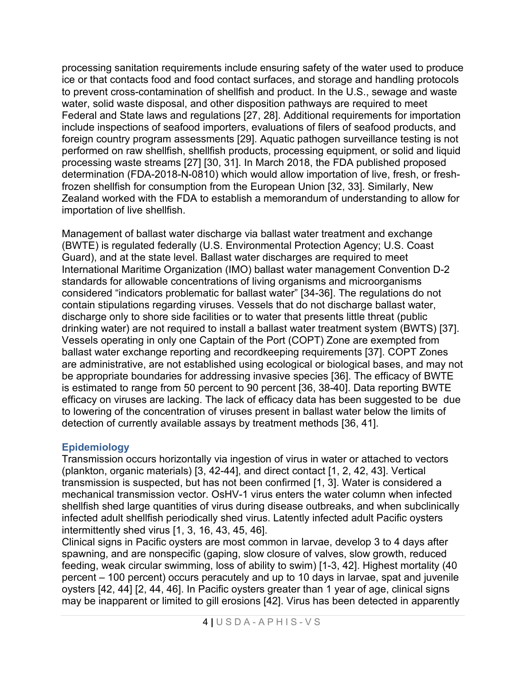processing sanitation requirements include ensuring safety of the water used to produce ice or that contacts food and food contact surfaces, and storage and handling protocols to prevent cross-contamination of shellfish and product. In the U.S., sewage and waste water, solid waste disposal, and other disposition pathways are required to meet Federal and State laws and regulations [27, 28]. Additional requirements for importation include inspections of seafood importers, evaluations of filers of seafood products, and foreign country program assessments [29]. Aquatic pathogen surveillance testing is not performed on raw shellfish, shellfish products, processing equipment, or solid and liquid processing waste streams [27] [30, 31]. In March 2018, the FDA published proposed determination (FDA-2018-N-0810) which would allow importation of live, fresh, or freshfrozen shellfish for consumption from the European Union [32, 33]. Similarly, New Zealand worked with the FDA to establish a memorandum of understanding to allow for importation of live shellfish.

Management of ballast water discharge via ballast water treatment and exchange (BWTE) is regulated federally (U.S. Environmental Protection Agency; U.S. Coast Guard), and at the state level. Ballast water discharges are required to meet International Maritime Organization (IMO) ballast water management Convention D-2 standards for allowable concentrations of living organisms and microorganisms considered "indicators problematic for ballast water" [34-36]. The regulations do not contain stipulations regarding viruses. Vessels that do not discharge ballast water, discharge only to shore side facilities or to water that presents little threat (public drinking water) are not required to install a ballast water treatment system (BWTS) [37]. Vessels operating in only one Captain of the Port (COPT) Zone are exempted from ballast water exchange reporting and recordkeeping requirements [37]. COPT Zones are administrative, are not established using ecological or biological bases, and may not be appropriate boundaries for addressing invasive species [36]. The efficacy of BWTE is estimated to range from 50 percent to 90 percent [36, 38-40]. Data reporting BWTE efficacy on viruses are lacking. The lack of efficacy data has been suggested to be due to lowering of the concentration of viruses present in ballast water below the limits of detection of currently available assays by treatment methods [36, 41].

### **Epidemiology**

Transmission occurs horizontally via ingestion of virus in water or attached to vectors (plankton, organic materials) [3, 42-44], and direct contact [1, 2, 42, 43]. Vertical transmission is suspected, but has not been confirmed [1, 3]. Water is considered a mechanical transmission vector. OsHV-1 virus enters the water column when infected shellfish shed large quantities of virus during disease outbreaks, and when subclinically infected adult shellfish periodically shed virus. Latently infected adult Pacific oysters intermittently shed virus [1, 3, 16, 43, 45, 46].

Clinical signs in Pacific oysters are most common in larvae, develop 3 to 4 days after spawning, and are nonspecific (gaping, slow closure of valves, slow growth, reduced feeding, weak circular swimming, loss of ability to swim) [1-3, 42]. Highest mortality (40 percent – 100 percent) occurs peracutely and up to 10 days in larvae, spat and juvenile oysters [42, 44] [2, 44, 46]. In Pacific oysters greater than 1 year of age, clinical signs may be inapparent or limited to gill erosions [42]. Virus has been detected in apparently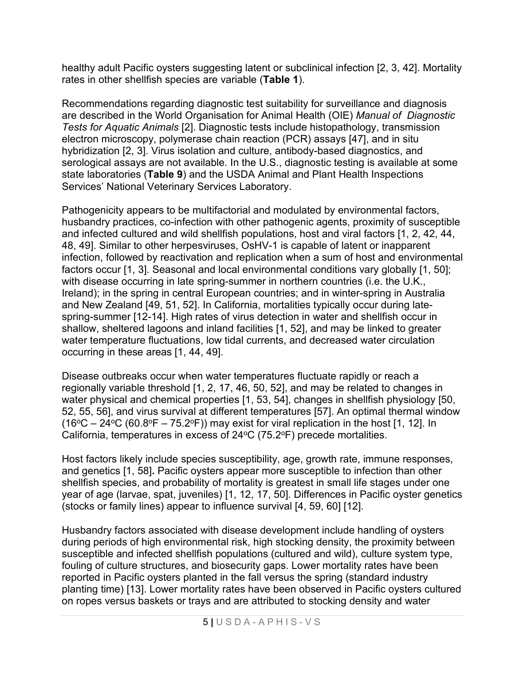healthy adult Pacific oysters suggesting latent or subclinical infection [2, 3, 42]. Mortality rates in other shellfish species are variable (**Table 1**).

Recommendations regarding diagnostic test suitability for surveillance and diagnosis are described in the World Organisation for Animal Health (OIE) *Manual of Diagnostic Tests for Aquatic Animals* [2]. Diagnostic tests include histopathology, transmission electron microscopy, polymerase chain reaction (PCR) assays [47], and in situ hybridization [2, 3]. Virus isolation and culture, antibody-based diagnostics, and serological assays are not available. In the U.S., diagnostic testing is available at some state laboratories (**Table 9**) and the USDA Animal and Plant Health Inspections Services' National Veterinary Services Laboratory.

Pathogenicity appears to be multifactorial and modulated by environmental factors, husbandry practices, co-infection with other pathogenic agents, proximity of susceptible and infected cultured and wild shellfish populations, host and viral factors [1, 2, 42, 44, 48, 49]. Similar to other herpesviruses, OsHV-1 is capable of latent or inapparent infection, followed by reactivation and replication when a sum of host and environmental factors occur [1, 3]. Seasonal and local environmental conditions vary globally [1, 50]; with disease occurring in late spring-summer in northern countries (i.e. the U.K., Ireland); in the spring in central European countries; and in winter-spring in Australia and New Zealand [49, 51, 52]. In California, mortalities typically occur during latespring-summer [12-14]. High rates of virus detection in water and shellfish occur in shallow, sheltered lagoons and inland facilities [1, 52], and may be linked to greater water temperature fluctuations, low tidal currents, and decreased water circulation occurring in these areas [1, 44, 49].

Disease outbreaks occur when water temperatures fluctuate rapidly or reach a regionally variable threshold [1, 2, 17, 46, 50, 52], and may be related to changes in water physical and chemical properties [1, 53, 54], changes in shellfish physiology [50, 52, 55, 56], and virus survival at different temperatures [57]. An optimal thermal window  $(16^{\circ}C - 24^{\circ}C (60.8^{\circ}F - 75.2^{\circ}F))$  may exist for viral replication in the host [1, 12]. In California, temperatures in excess of  $24^{\circ}$ C (75.2 $^{\circ}$ F) precede mortalities.

Host factors likely include species susceptibility, age, growth rate, immune responses, and genetics [1, 58]**.** Pacific oysters appear more susceptible to infection than other shellfish species, and probability of mortality is greatest in small life stages under one year of age (larvae, spat, juveniles) [1, 12, 17, 50]. Differences in Pacific oyster genetics (stocks or family lines) appear to influence survival [4, 59, 60] [12].

Husbandry factors associated with disease development include handling of oysters during periods of high environmental risk, high stocking density, the proximity between susceptible and infected shellfish populations (cultured and wild), culture system type, fouling of culture structures, and biosecurity gaps. Lower mortality rates have been reported in Pacific oysters planted in the fall versus the spring (standard industry planting time) [13]. Lower mortality rates have been observed in Pacific oysters cultured on ropes versus baskets or trays and are attributed to stocking density and water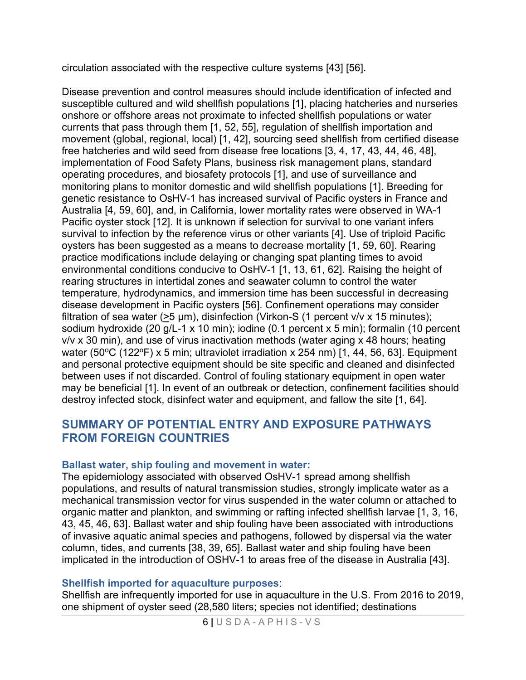circulation associated with the respective culture systems [43] [56].

Disease prevention and control measures should include identification of infected and susceptible cultured and wild shellfish populations [1], placing hatcheries and nurseries onshore or offshore areas not proximate to infected shellfish populations or water currents that pass through them [1, 52, 55], regulation of shellfish importation and movement (global, regional, local) [1, 42], sourcing seed shellfish from certified disease free hatcheries and wild seed from disease free locations [3, 4, 17, 43, 44, 46, 48], implementation of Food Safety Plans, business risk management plans, standard operating procedures, and biosafety protocols [1], and use of surveillance and monitoring plans to monitor domestic and wild shellfish populations [1]. Breeding for genetic resistance to OsHV-1 has increased survival of Pacific oysters in France and Australia [4, 59, 60], and, in California, lower mortality rates were observed in WA-1 Pacific oyster stock [12]. It is unknown if selection for survival to one variant infers survival to infection by the reference virus or other variants [4]. Use of triploid Pacific oysters has been suggested as a means to decrease mortality [1, 59, 60]. Rearing practice modifications include delaying or changing spat planting times to avoid environmental conditions conducive to OsHV-1 [1, 13, 61, 62]. Raising the height of rearing structures in intertidal zones and seawater column to control the water temperature, hydrodynamics, and immersion time has been successful in decreasing disease development in Pacific oysters [56]. Confinement operations may consider filtration of sea water ( $>5 \mu m$ ), disinfection (Virkon-S (1 percent v/v x 15 minutes); sodium hydroxide (20 g/L-1 x 10 min); iodine (0.1 percent x 5 min); formalin (10 percent v/v x 30 min), and use of virus inactivation methods (water aging x 48 hours; heating water (50 $\degree$ C (122 $\degree$ F) x 5 min; ultraviolet irradiation x 254 nm) [1, 44, 56, 63]. Equipment and personal protective equipment should be site specific and cleaned and disinfected between uses if not discarded. Control of fouling stationary equipment in open water may be beneficial [1]. In event of an outbreak or detection, confinement facilities should destroy infected stock, disinfect water and equipment, and fallow the site [1, 64].

## **SUMMARY OF POTENTIAL ENTRY AND EXPOSURE PATHWAYS FROM FOREIGN COUNTRIES**

### **Ballast water, ship fouling and movement in water:**

The epidemiology associated with observed OsHV-1 spread among shellfish populations, and results of natural transmission studies, strongly implicate water as a mechanical transmission vector for virus suspended in the water column or attached to organic matter and plankton, and swimming or rafting infected shellfish larvae [1, 3, 16, 43, 45, 46, 63]. Ballast water and ship fouling have been associated with introductions of invasive aquatic animal species and pathogens, followed by dispersal via the water column, tides, and currents [38, 39, 65]. Ballast water and ship fouling have been implicated in the introduction of OSHV-1 to areas free of the disease in Australia [43].

### **Shellfish imported for aquaculture purposes**:

Shellfish are infrequently imported for use in aquaculture in the U.S. From 2016 to 2019, one shipment of oyster seed (28,580 liters; species not identified; destinations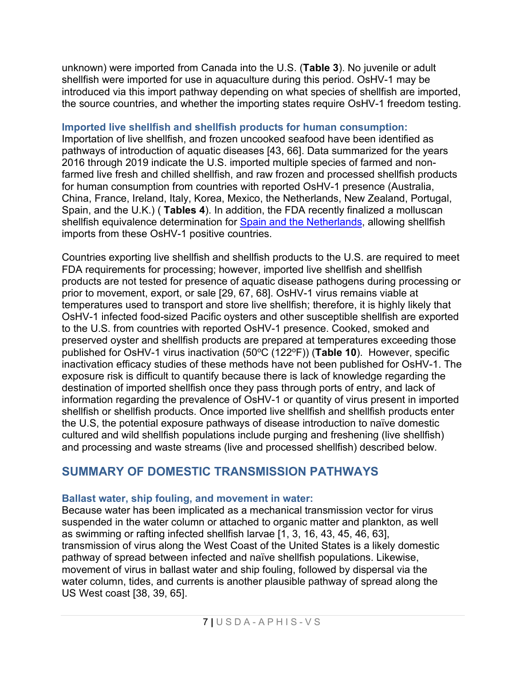unknown) were imported from Canada into the U.S. (**Table 3**). No juvenile or adult shellfish were imported for use in aquaculture during this period. OsHV-1 may be introduced via this import pathway depending on what species of shellfish are imported, the source countries, and whether the importing states require OsHV-1 freedom testing.

### **Imported live shellfish and shellfish products for human consumption:**

Importation of live shellfish, and frozen uncooked seafood have been identified as pathways of introduction of aquatic diseases [43, 66]. Data summarized for the years 2016 through 2019 indicate the U.S. imported multiple species of farmed and nonfarmed live fresh and chilled shellfish, and raw frozen and processed shellfish products for human consumption from countries with reported OsHV-1 presence (Australia, China, France, Ireland, Italy, Korea, Mexico, the Netherlands, New Zealand, Portugal, Spain, and the U.K.) ( **Tables 4**). In addition, the FDA recently finalized a molluscan shellfish equivalence determination for [Spain and the Netherlands,](https://www.fda.gov/news-events/press-announcements/fda-achieves-key-milestone-finalizes-framework-will-resume-shellfish-trade-europe-first-time-10) allowing shellfish imports from these OsHV-1 positive countries.

Countries exporting live shellfish and shellfish products to the U.S. are required to meet FDA requirements for processing; however, imported live shellfish and shellfish products are not tested for presence of aquatic disease pathogens during processing or prior to movement, export, or sale [29, 67, 68]. OsHV-1 virus remains viable at temperatures used to transport and store live shellfish; therefore, it is highly likely that OsHV-1 infected food-sized Pacific oysters and other susceptible shellfish are exported to the U.S. from countries with reported OsHV-1 presence. Cooked, smoked and preserved oyster and shellfish products are prepared at temperatures exceeding those published for OsHV-1 virus inactivation (50°C (122°F)) (Table 10). However, specific inactivation efficacy studies of these methods have not been published for OsHV-1. The exposure risk is difficult to quantify because there is lack of knowledge regarding the destination of imported shellfish once they pass through ports of entry, and lack of information regarding the prevalence of OsHV-1 or quantity of virus present in imported shellfish or shellfish products. Once imported live shellfish and shellfish products enter the U.S, the potential exposure pathways of disease introduction to naïve domestic cultured and wild shellfish populations include purging and freshening (live shellfish) and processing and waste streams (live and processed shellfish) described below.

# **SUMMARY OF DOMESTIC TRANSMISSION PATHWAYS**

### **Ballast water, ship fouling, and movement in water:**

Because water has been implicated as a mechanical transmission vector for virus suspended in the water column or attached to organic matter and plankton, as well as swimming or rafting infected shellfish larvae [1, 3, 16, 43, 45, 46, 63], transmission of virus along the West Coast of the United States is a likely domestic pathway of spread between infected and naïve shellfish populations. Likewise, movement of virus in ballast water and ship fouling, followed by dispersal via the water column, tides, and currents is another plausible pathway of spread along the US West coast [38, 39, 65].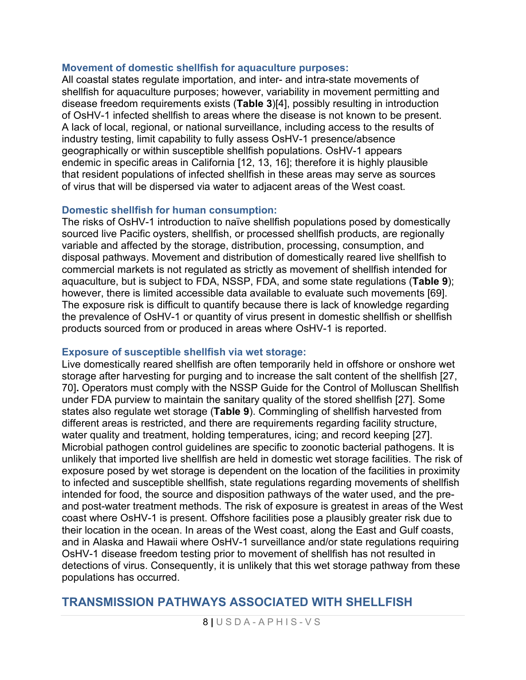#### **Movement of domestic shellfish for aquaculture purposes:**

All coastal states regulate importation, and inter- and intra-state movements of shellfish for aquaculture purposes; however, variability in movement permitting and disease freedom requirements exists (**Table 3**)[4], possibly resulting in introduction of OsHV-1 infected shellfish to areas where the disease is not known to be present. A lack of local, regional, or national surveillance, including access to the results of industry testing, limit capability to fully assess OsHV-1 presence/absence geographically or within susceptible shellfish populations. OsHV-1 appears endemic in specific areas in California [12, 13, 16]; therefore it is highly plausible that resident populations of infected shellfish in these areas may serve as sources of virus that will be dispersed via water to adjacent areas of the West coast.

### **Domestic shellfish for human consumption:**

The risks of OsHV-1 introduction to naïve shellfish populations posed by domestically sourced live Pacific oysters, shellfish, or processed shellfish products, are regionally variable and affected by the storage, distribution, processing, consumption, and disposal pathways. Movement and distribution of domestically reared live shellfish to commercial markets is not regulated as strictly as movement of shellfish intended for aquaculture, but is subject to FDA, NSSP, FDA, and some state regulations (**Table 9**); however, there is limited accessible data available to evaluate such movements [69]. The exposure risk is difficult to quantify because there is lack of knowledge regarding the prevalence of OsHV-1 or quantity of virus present in domestic shellfish or shellfish products sourced from or produced in areas where OsHV-1 is reported.

#### **Exposure of susceptible shellfish via wet storage:**

Live domestically reared shellfish are often temporarily held in offshore or onshore wet storage after harvesting for purging and to increase the salt content of the shellfish [27, 70]**.** Operators must comply with the NSSP Guide for the Control of Molluscan Shellfish under FDA purview to maintain the sanitary quality of the stored shellfish [27]. Some states also regulate wet storage (**Table 9**). Commingling of shellfish harvested from different areas is restricted, and there are requirements regarding facility structure, water quality and treatment, holding temperatures, icing; and record keeping [27]. Microbial pathogen control guidelines are specific to zoonotic bacterial pathogens. It is unlikely that imported live shellfish are held in domestic wet storage facilities. The risk of exposure posed by wet storage is dependent on the location of the facilities in proximity to infected and susceptible shellfish, state regulations regarding movements of shellfish intended for food, the source and disposition pathways of the water used, and the preand post-water treatment methods. The risk of exposure is greatest in areas of the West coast where OsHV-1 is present. Offshore facilities pose a plausibly greater risk due to their location in the ocean. In areas of the West coast, along the East and Gulf coasts, and in Alaska and Hawaii where OsHV-1 surveillance and/or state regulations requiring OsHV-1 disease freedom testing prior to movement of shellfish has not resulted in detections of virus. Consequently, it is unlikely that this wet storage pathway from these populations has occurred.

### **TRANSMISSION PATHWAYS ASSOCIATED WITH SHELLFISH**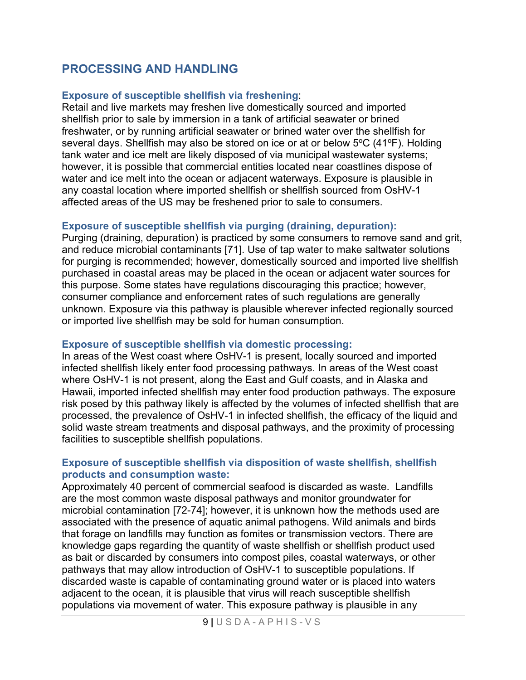## **PROCESSING AND HANDLING**

### **Exposure of susceptible shellfish via freshening**:

Retail and live markets may freshen live domestically sourced and imported shellfish prior to sale by immersion in a tank of artificial seawater or brined freshwater, or by running artificial seawater or brined water over the shellfish for several days. Shellfish may also be stored on ice or at or below  $5^{\circ}C$  (41 $^{\circ}F$ ). Holding tank water and ice melt are likely disposed of via municipal wastewater systems; however, it is possible that commercial entities located near coastlines dispose of water and ice melt into the ocean or adjacent waterways. Exposure is plausible in any coastal location where imported shellfish or shellfish sourced from OsHV-1 affected areas of the US may be freshened prior to sale to consumers.

### **Exposure of susceptible shellfish via purging (draining, depuration):**

Purging (draining, depuration) is practiced by some consumers to remove sand and grit, and reduce microbial contaminants [71]. Use of tap water to make saltwater solutions for purging is recommended; however, domestically sourced and imported live shellfish purchased in coastal areas may be placed in the ocean or adjacent water sources for this purpose. Some states have regulations discouraging this practice; however, consumer compliance and enforcement rates of such regulations are generally unknown. Exposure via this pathway is plausible wherever infected regionally sourced or imported live shellfish may be sold for human consumption.

### **Exposure of susceptible shellfish via domestic processing:**

In areas of the West coast where OsHV-1 is present, locally sourced and imported infected shellfish likely enter food processing pathways. In areas of the West coast where OsHV-1 is not present, along the East and Gulf coasts, and in Alaska and Hawaii, imported infected shellfish may enter food production pathways. The exposure risk posed by this pathway likely is affected by the volumes of infected shellfish that are processed, the prevalence of OsHV-1 in infected shellfish, the efficacy of the liquid and solid waste stream treatments and disposal pathways, and the proximity of processing facilities to susceptible shellfish populations.

### **Exposure of susceptible shellfish via disposition of waste shellfish, shellfish products and consumption waste:**

Approximately 40 percent of commercial seafood is discarded as waste. Landfills are the most common waste disposal pathways and monitor groundwater for microbial contamination [72-74]; however, it is unknown how the methods used are associated with the presence of aquatic animal pathogens. Wild animals and birds that forage on landfills may function as fomites or transmission vectors. There are knowledge gaps regarding the quantity of waste shellfish or shellfish product used as bait or discarded by consumers into compost piles, coastal waterways, or other pathways that may allow introduction of OsHV-1 to susceptible populations. If discarded waste is capable of contaminating ground water or is placed into waters adjacent to the ocean, it is plausible that virus will reach susceptible shellfish populations via movement of water. This exposure pathway is plausible in any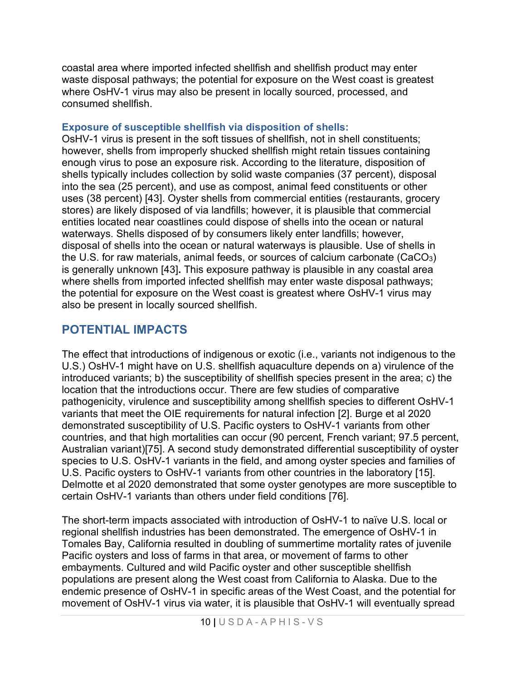coastal area where imported infected shellfish and shellfish product may enter waste disposal pathways; the potential for exposure on the West coast is greatest where OsHV-1 virus may also be present in locally sourced, processed, and consumed shellfish.

### **Exposure of susceptible shellfish via disposition of shells:**

OsHV-1 virus is present in the soft tissues of shellfish, not in shell constituents; however, shells from improperly shucked shellfish might retain tissues containing enough virus to pose an exposure risk. According to the literature, disposition of shells typically includes collection by solid waste companies (37 percent), disposal into the sea (25 percent), and use as compost, animal feed constituents or other uses (38 percent) [43]. Oyster shells from commercial entities (restaurants, grocery stores) are likely disposed of via landfills; however, it is plausible that commercial entities located near coastlines could dispose of shells into the ocean or natural waterways. Shells disposed of by consumers likely enter landfills; however, disposal of shells into the ocean or natural waterways is plausible. Use of shells in the U.S. for raw materials, animal feeds, or sources of calcium carbonate (CaCO $_3$ ) is generally unknown [43]**.** This exposure pathway is plausible in any coastal area where shells from imported infected shellfish may enter waste disposal pathways; the potential for exposure on the West coast is greatest where OsHV-1 virus may also be present in locally sourced shellfish.

# **POTENTIAL IMPACTS**

The effect that introductions of indigenous or exotic (i.e., variants not indigenous to the U.S.) OsHV-1 might have on U.S. shellfish aquaculture depends on a) virulence of the introduced variants; b) the susceptibility of shellfish species present in the area; c) the location that the introductions occur. There are few studies of comparative pathogenicity, virulence and susceptibility among shellfish species to different OsHV-1 variants that meet the OIE requirements for natural infection [2]. Burge et al 2020 demonstrated susceptibility of U.S. Pacific oysters to OsHV-1 variants from other countries, and that high mortalities can occur (90 percent, French variant; 97.5 percent, Australian variant)[75]. A second study demonstrated differential susceptibility of oyster species to U.S. OsHV-1 variants in the field, and among oyster species and families of U.S. Pacific oysters to OsHV-1 variants from other countries in the laboratory [15]. Delmotte et al 2020 demonstrated that some oyster genotypes are more susceptible to certain OsHV-1 variants than others under field conditions [76].

The short-term impacts associated with introduction of OsHV-1 to naïve U.S. local or regional shellfish industries has been demonstrated. The emergence of OsHV-1 in Tomales Bay, California resulted in doubling of summertime mortality rates of juvenile Pacific oysters and loss of farms in that area, or movement of farms to other embayments. Cultured and wild Pacific oyster and other susceptible shellfish populations are present along the West coast from California to Alaska. Due to the endemic presence of OsHV-1 in specific areas of the West Coast, and the potential for movement of OsHV-1 virus via water, it is plausible that OsHV-1 will eventually spread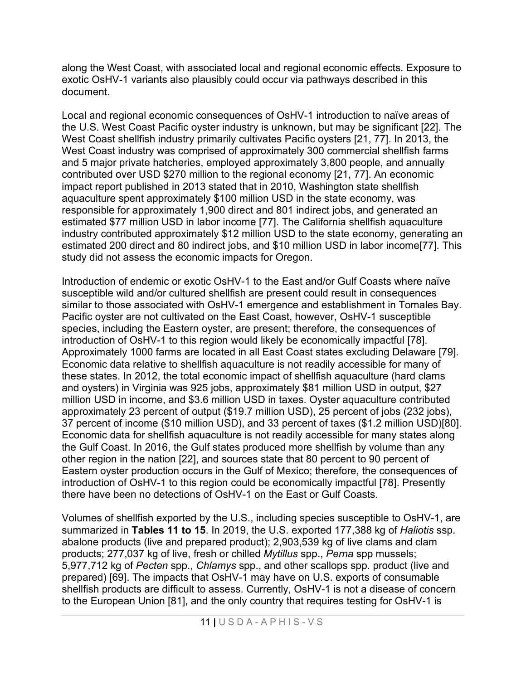along the West Coast, with associated local and regional economic effects. Exposure to exotic OsHV-1 variants also plausibly could occur via pathways described in this document.

Local and regional economic consequences of OsHV-1 introduction to naïve areas of the U.S. West Coast Pacific oyster industry is unknown, but may be significant [22]. The West Coast shellfish industry primarily cultivates Pacific oysters [21, 77]. In 2013, the West Coast industry was comprised of approximately 300 commercial shellfish farms and 5 major private hatcheries, employed approximately 3,800 people, and annually contributed over USD \$270 million to the regional economy [21, 77]. An economic impact report published in 2013 stated that in 2010, Washington state shellfish aquaculture spent approximately \$100 million USD in the state economy, was responsible for approximately 1,900 direct and 801 indirect jobs, and generated an estimated \$77 million USD in labor income [77]. The California shellfish aquaculture industry contributed approximately \$12 million USD to the state economy, generating an estimated 200 direct and 80 indirect jobs, and \$10 million USD in labor income[77]. This study did not assess the economic impacts for Oregon.

Introduction of endemic or exotic OsHV-1 to the East and/or Gulf Coasts where naïve susceptible wild and/or cultured shellfish are present could result in consequences similar to those associated with OsHV-1 emergence and establishment in Tomales Bay. Pacific oyster are not cultivated on the East Coast, however, OsHV-1 susceptible species, including the Eastern oyster, are present; therefore, the consequences of introduction of OsHV-1 to this region would likely be economically impactful [78]. Approximately 1000 farms are located in all East Coast states excluding Delaware [79]. Economic data relative to shellfish aquaculture is not readily accessible for many of these states. In 2012, the total economic impact of shellfish aquaculture (hard clams and oysters) in Virginia was 925 jobs, approximately \$81 million USD in output, \$27 million USD in income, and \$3.6 million USD in taxes. Oyster aquaculture contributed approximately 23 percent of output (\$19.7 million USD), 25 percent of jobs (232 jobs), 37 percent of income (\$10 million USD), and 33 percent of taxes (\$1.2 million USD)[80]. Economic data for shellfish aquaculture is not readily accessible for many states along the Gulf Coast. In 2016, the Gulf states produced more shellfish by volume than any other region in the nation [22], and sources state that 80 percent to 90 percent of Eastern oyster production occurs in the Gulf of Mexico; therefore, the consequences of introduction of OsHV-1 to this region could be economically impactful [78]. Presently there have been no detections of OsHV-1 on the East or Gulf Coasts.

Volumes of shellfish exported by the U.S., including species susceptible to OsHV-1, are summarized in **Tables 11 to 15**. In 2019, the U.S. exported 177,388 kg of *Haliotis* ssp. abalone products (live and prepared product); 2,903,539 kg of live clams and clam products; 277,037 kg of live, fresh or chilled *Mytillus* spp., *Perna* spp mussels; 5,977,712 kg of *Pecten* spp., *Chlamys* spp., and other scallops spp. product (live and prepared) [69]. The impacts that OsHV-1 may have on U.S. exports of consumable shellfish products are difficult to assess. Currently, OsHV-1 is not a disease of concern to the European Union [81], and the only country that requires testing for OsHV-1 is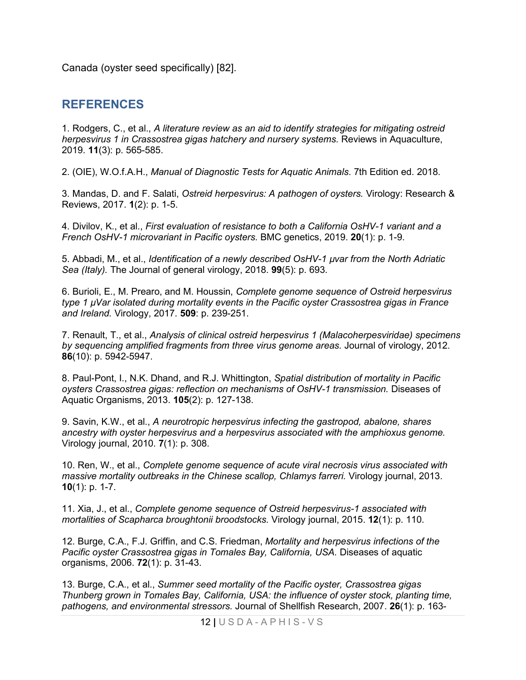Canada (oyster seed specifically) [82].

## **REFERENCES**

1. Rodgers, C., et al., *A literature review as an aid to identify strategies for mitigating ostreid herpesvirus 1 in Crassostrea gigas hatchery and nursery systems.* Reviews in Aquaculture, 2019. **11**(3): p. 565-585.

2. (OIE), W.O.f.A.H., *Manual of Diagnostic Tests for Aquatic Animals*. 7th Edition ed. 2018.

3. Mandas, D. and F. Salati, *Ostreid herpesvirus: A pathogen of oysters.* Virology: Research & Reviews, 2017. **1**(2): p. 1-5.

4. Divilov, K., et al., *First evaluation of resistance to both a California OsHV-1 variant and a French OsHV-1 microvariant in Pacific oysters.* BMC genetics, 2019. **20**(1): p. 1-9.

5. Abbadi, M., et al., *Identification of a newly described OsHV-1 µvar from the North Adriatic Sea (Italy).* The Journal of general virology, 2018. **99**(5): p. 693.

6. Burioli, E., M. Prearo, and M. Houssin, *Complete genome sequence of Ostreid herpesvirus type 1 µVar isolated during mortality events in the Pacific oyster Crassostrea gigas in France and Ireland.* Virology, 2017. **509**: p. 239-251.

7. Renault, T., et al., *Analysis of clinical ostreid herpesvirus 1 (Malacoherpesviridae) specimens by sequencing amplified fragments from three virus genome areas.* Journal of virology, 2012. **86**(10): p. 5942-5947.

8. Paul-Pont, I., N.K. Dhand, and R.J. Whittington, *Spatial distribution of mortality in Pacific oysters Crassostrea gigas: reflection on mechanisms of OsHV-1 transmission.* Diseases of Aquatic Organisms, 2013. **105**(2): p. 127-138.

9. Savin, K.W., et al., *A neurotropic herpesvirus infecting the gastropod, abalone, shares ancestry with oyster herpesvirus and a herpesvirus associated with the amphioxus genome.* Virology journal, 2010. **7**(1): p. 308.

10. Ren, W., et al., *Complete genome sequence of acute viral necrosis virus associated with massive mortality outbreaks in the Chinese scallop, Chlamys farreri.* Virology journal, 2013. **10**(1): p. 1-7.

11. Xia, J., et al., *Complete genome sequence of Ostreid herpesvirus-1 associated with mortalities of Scapharca broughtonii broodstocks.* Virology journal, 2015. **12**(1): p. 110.

12. Burge, C.A., F.J. Griffin, and C.S. Friedman, *Mortality and herpesvirus infections of the Pacific oyster Crassostrea gigas in Tomales Bay, California, USA.* Diseases of aquatic organisms, 2006. **72**(1): p. 31-43.

13. Burge, C.A., et al., *Summer seed mortality of the Pacific oyster, Crassostrea gigas Thunberg grown in Tomales Bay, California, USA: the influence of oyster stock, planting time, pathogens, and environmental stressors.* Journal of Shellfish Research, 2007. **26**(1): p. 163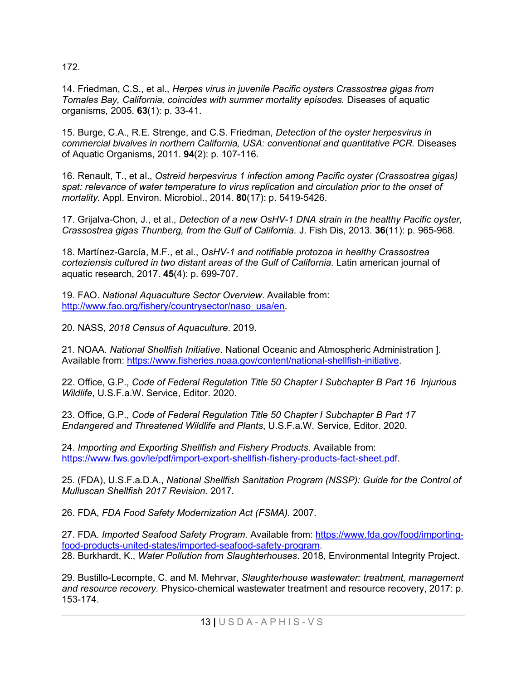172.

14. Friedman, C.S., et al., *Herpes virus in juvenile Pacific oysters Crassostrea gigas from Tomales Bay, California, coincides with summer mortality episodes.* Diseases of aquatic organisms, 2005. **63**(1): p. 33-41.

15. Burge, C.A., R.E. Strenge, and C.S. Friedman, *Detection of the oyster herpesvirus in commercial bivalves in northern California, USA: conventional and quantitative PCR.* Diseases of Aquatic Organisms, 2011. **94**(2): p. 107-116.

16. Renault, T., et al., *Ostreid herpesvirus 1 infection among Pacific oyster (Crassostrea gigas) spat: relevance of water temperature to virus replication and circulation prior to the onset of mortality.* Appl. Environ. Microbiol., 2014. **80**(17): p. 5419-5426.

17. Grijalva-Chon, J., et al., *Detection of a new OsHV-1 DNA strain in the healthy Pacific oyster, Crassostrea gigas Thunberg, from the Gulf of California.* J. Fish Dis, 2013. **36**(11): p. 965-968.

18. Martínez-García, M.F., et al., *OsHV-1 and notifiable protozoa in healthy Crassostrea corteziensis cultured in two distant areas of the Gulf of California.* Latin american journal of aquatic research, 2017. **45**(4): p. 699-707.

19. FAO. *National Aquaculture Sector Overview*. Available from: [http://www.fao.org/fishery/countrysector/naso\\_usa/en.](http://www.fao.org/fishery/countrysector/naso_usa/en)

20. NASS, *2018 Census of Aquaculture*. 2019.

21. NOAA. *National Shellfish Initiative*. National Oceanic and Atmospheric Administration ]. Available from: [https://www.fisheries.noaa.gov/content/national-shellfish-initiative.](https://www.fisheries.noaa.gov/content/national-shellfish-initiative)

22. Office, G.P., *Code of Federal Regulation Title 50 Chapter I Subchapter B Part 16 Injurious Wildlife*, U.S.F.a.W. Service, Editor. 2020.

23. Office, G.P., *Code of Federal Regulation Title 50 Chapter I Subchapter B Part 17 Endangered and Threatened Wildlife and Plants*, U.S.F.a.W. Service, Editor. 2020.

24. *Importing and Exporting Shellfish and Fishery Products*. Available from: [https://www.fws.gov/le/pdf/import-export-shellfish-fishery-products-fact-sheet.pdf.](https://www.fws.gov/le/pdf/import-export-shellfish-fishery-products-fact-sheet.pdf)

25. (FDA), U.S.F.a.D.A., *National Shellfish Sanitation Program (NSSP): Guide for the Control of Mulluscan Shellfish 2017 Revision.* 2017.

26. FDA, *FDA Food Safety Modernization Act (FSMA).* 2007.

27. FDA. *Imported Seafood Safety Program*. Available from: [https://www.fda.gov/food/importing](https://www.fda.gov/food/importing-food-products-united-states/imported-seafood-safety-program)[food-products-united-states/imported-seafood-safety-program.](https://www.fda.gov/food/importing-food-products-united-states/imported-seafood-safety-program) 28. Burkhardt, K., *Water Pollution from Slaughterhouses*. 2018, Environmental Integrity Project.

29. Bustillo-Lecompte, C. and M. Mehrvar, *Slaughterhouse wastewater: treatment, management and resource recovery.* Physico-chemical wastewater treatment and resource recovery, 2017: p. 153-174.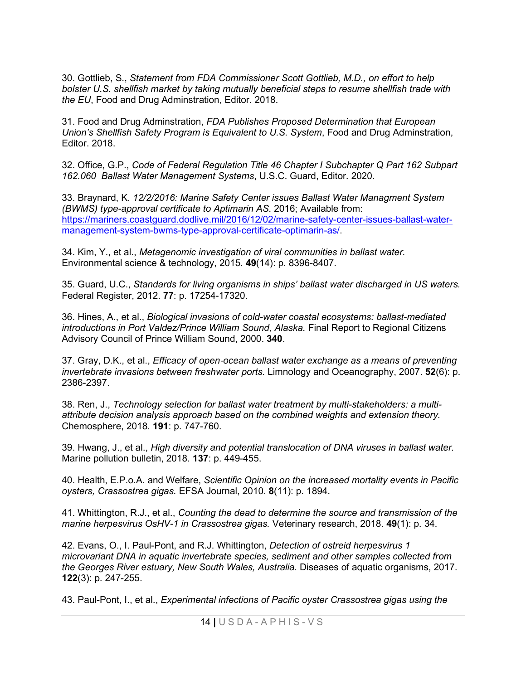30. Gottlieb, S., *Statement from FDA Commissioner Scott Gottlieb, M.D., on effort to help bolster U.S. shellfish market by taking mutually beneficial steps to resume shellfish trade with the EU*, Food and Drug Adminstration, Editor. 2018.

31. Food and Drug Adminstration, *FDA Publishes Proposed Determination that European Union's Shellfish Safety Program is Equivalent to U.S. System*, Food and Drug Adminstration, Editor. 2018.

32. Office, G.P., *Code of Federal Regulation Title 46 Chapter I Subchapter Q Part 162 Subpart 162.060 Ballast Water Management Systems*, U.S.C. Guard, Editor. 2020.

33. Braynard, K. *12/2/2016: Marine Safety Center issues Ballast Water Managment System (BWMS) type-approval certificate to Aptimarin AS*. 2016; Available from: [https://mariners.coastguard.dodlive.mil/2016/12/02/marine-safety-center-issues-ballast-water](https://mariners.coastguard.dodlive.mil/2016/12/02/marine-safety-center-issues-ballast-water-management-system-bwms-type-approval-certificate-optimarin-as/)[management-system-bwms-type-approval-certificate-optimarin-as/.](https://mariners.coastguard.dodlive.mil/2016/12/02/marine-safety-center-issues-ballast-water-management-system-bwms-type-approval-certificate-optimarin-as/)

34. Kim, Y., et al., *Metagenomic investigation of viral communities in ballast water.* Environmental science & technology, 2015. **49**(14): p. 8396-8407.

35. Guard, U.C., *Standards for living organisms in ships' ballast water discharged in US waters.* Federal Register, 2012. **77**: p. 17254-17320.

36. Hines, A., et al., *Biological invasions of cold-water coastal ecosystems: ballast-mediated introductions in Port Valdez/Prince William Sound, Alaska.* Final Report to Regional Citizens Advisory Council of Prince William Sound, 2000. **340**.

37. Gray, D.K., et al., *Efficacy of open*‐*ocean ballast water exchange as a means of preventing invertebrate invasions between freshwater ports.* Limnology and Oceanography, 2007. **52**(6): p. 2386-2397.

38. Ren, J., *Technology selection for ballast water treatment by multi-stakeholders: a multiattribute decision analysis approach based on the combined weights and extension theory.* Chemosphere, 2018. **191**: p. 747-760.

39. Hwang, J., et al., *High diversity and potential translocation of DNA viruses in ballast water.* Marine pollution bulletin, 2018. **137**: p. 449-455.

40. Health, E.P.o.A. and Welfare, *Scientific Opinion on the increased mortality events in Pacific oysters, Crassostrea gigas.* EFSA Journal, 2010. **8**(11): p. 1894.

41. Whittington, R.J., et al., *Counting the dead to determine the source and transmission of the marine herpesvirus OsHV-1 in Crassostrea gigas.* Veterinary research, 2018. **49**(1): p. 34.

42. Evans, O., I. Paul-Pont, and R.J. Whittington, *Detection of ostreid herpesvirus 1 microvariant DNA in aquatic invertebrate species, sediment and other samples collected from the Georges River estuary, New South Wales, Australia.* Diseases of aquatic organisms, 2017. **122**(3): p. 247-255.

43. Paul-Pont, I., et al., *Experimental infections of Pacific oyster Crassostrea gigas using the*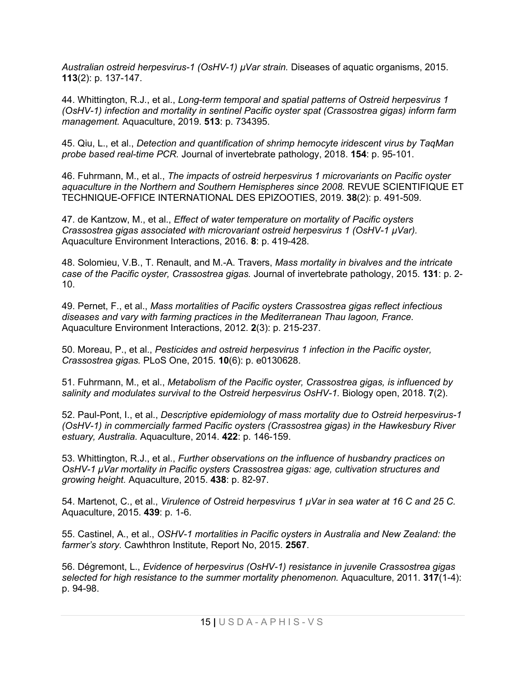*Australian ostreid herpesvirus-1 (OsHV-1) µVar strain.* Diseases of aquatic organisms, 2015. **113**(2): p. 137-147.

44. Whittington, R.J., et al., *Long-term temporal and spatial patterns of Ostreid herpesvirus 1 (OsHV-1) infection and mortality in sentinel Pacific oyster spat (Crassostrea gigas) inform farm management.* Aquaculture, 2019. **513**: p. 734395.

45. Qiu, L., et al., *Detection and quantification of shrimp hemocyte iridescent virus by TaqMan probe based real-time PCR.* Journal of invertebrate pathology, 2018. **154**: p. 95-101.

46. Fuhrmann, M., et al., *The impacts of ostreid herpesvirus 1 microvariants on Pacific oyster aquaculture in the Northern and Southern Hemispheres since 2008.* REVUE SCIENTIFIQUE ET TECHNIQUE-OFFICE INTERNATIONAL DES EPIZOOTIES, 2019. **38**(2): p. 491-509.

47. de Kantzow, M., et al., *Effect of water temperature on mortality of Pacific oysters Crassostrea gigas associated with microvariant ostreid herpesvirus 1 (OsHV-1 µVar).* Aquaculture Environment Interactions, 2016. **8**: p. 419-428.

48. Solomieu, V.B., T. Renault, and M.-A. Travers, *Mass mortality in bivalves and the intricate case of the Pacific oyster, Crassostrea gigas.* Journal of invertebrate pathology, 2015. **131**: p. 2- 10.

49. Pernet, F., et al., *Mass mortalities of Pacific oysters Crassostrea gigas reflect infectious diseases and vary with farming practices in the Mediterranean Thau lagoon, France.* Aquaculture Environment Interactions, 2012. **2**(3): p. 215-237.

50. Moreau, P., et al., *Pesticides and ostreid herpesvirus 1 infection in the Pacific oyster, Crassostrea gigas.* PLoS One, 2015. **10**(6): p. e0130628.

51. Fuhrmann, M., et al., *Metabolism of the Pacific oyster, Crassostrea gigas, is influenced by salinity and modulates survival to the Ostreid herpesvirus OsHV-1.* Biology open, 2018. **7**(2).

52. Paul-Pont, I., et al., *Descriptive epidemiology of mass mortality due to Ostreid herpesvirus-1 (OsHV-1) in commercially farmed Pacific oysters (Crassostrea gigas) in the Hawkesbury River estuary, Australia.* Aquaculture, 2014. **422**: p. 146-159.

53. Whittington, R.J., et al., *Further observations on the influence of husbandry practices on OsHV-1 μVar mortality in Pacific oysters Crassostrea gigas: age, cultivation structures and growing height.* Aquaculture, 2015. **438**: p. 82-97.

54. Martenot, C., et al., *Virulence of Ostreid herpesvirus 1 μVar in sea water at 16 C and 25 C.* Aquaculture, 2015. **439**: p. 1-6.

55. Castinel, A., et al., *OSHV-1 mortalities in Pacific oysters in Australia and New Zealand: the farmer's story.* Cawhthron Institute, Report No, 2015. **2567**.

56. Dégremont, L., *Evidence of herpesvirus (OsHV-1) resistance in juvenile Crassostrea gigas selected for high resistance to the summer mortality phenomenon.* Aquaculture, 2011. **317**(1-4): p. 94-98.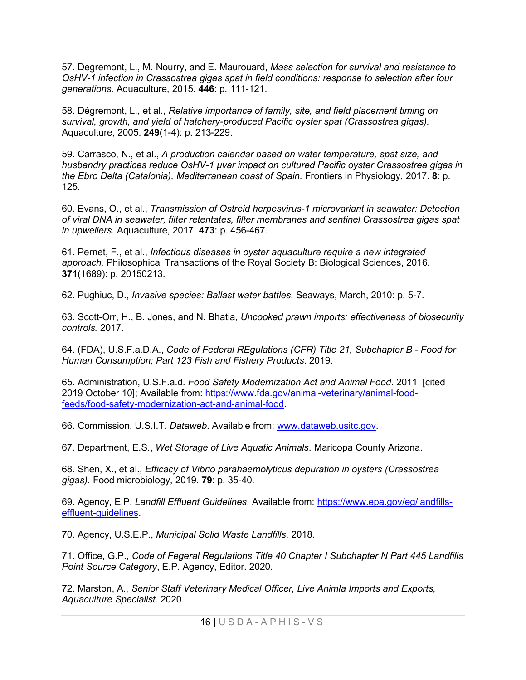57. Degremont, L., M. Nourry, and E. Maurouard, *Mass selection for survival and resistance to OsHV-1 infection in Crassostrea gigas spat in field conditions: response to selection after four generations.* Aquaculture, 2015. **446**: p. 111-121.

58. Dégremont, L., et al., *Relative importance of family, site, and field placement timing on survival, growth, and yield of hatchery-produced Pacific oyster spat (Crassostrea gigas).* Aquaculture, 2005. **249**(1-4): p. 213-229.

59. Carrasco, N., et al., *A production calendar based on water temperature, spat size, and husbandry practices reduce OsHV-1 μvar impact on cultured Pacific oyster Crassostrea gigas in the Ebro Delta (Catalonia), Mediterranean coast of Spain.* Frontiers in Physiology, 2017. **8**: p. 125.

60. Evans, O., et al., *Transmission of Ostreid herpesvirus-1 microvariant in seawater: Detection of viral DNA in seawater, filter retentates, filter membranes and sentinel Crassostrea gigas spat in upwellers.* Aquaculture, 2017. **473**: p. 456-467.

61. Pernet, F., et al., *Infectious diseases in oyster aquaculture require a new integrated approach.* Philosophical Transactions of the Royal Society B: Biological Sciences, 2016. **371**(1689): p. 20150213.

62. Pughiuc, D., *Invasive species: Ballast water battles.* Seaways, March, 2010: p. 5-7.

63. Scott-Orr, H., B. Jones, and N. Bhatia, *Uncooked prawn imports: effectiveness of biosecurity controls.* 2017.

64. (FDA), U.S.F.a.D.A., *Code of Federal REgulations (CFR) Title 21, Subchapter B - Food for Human Consumption; Part 123 Fish and Fishery Products*. 2019.

65. Administration, U.S.F.a.d. *Food Safety Modernization Act and Animal Food*. 2011 [cited 2019 October 10]; Available from: [https://www.fda.gov/animal-veterinary/animal-food](https://www.fda.gov/animal-veterinary/animal-food-feeds/food-safety-modernization-act-and-animal-food)[feeds/food-safety-modernization-act-and-animal-food.](https://www.fda.gov/animal-veterinary/animal-food-feeds/food-safety-modernization-act-and-animal-food)

66. Commission, U.S.I.T. *Dataweb*. Available from: www.dataweb.usitc.gov.

67. Department, E.S., *Wet Storage of Live Aquatic Animals*. Maricopa County Arizona.

68. Shen, X., et al., *Efficacy of Vibrio parahaemolyticus depuration in oysters (Crassostrea gigas).* Food microbiology, 2019. **79**: p. 35-40.

69. Agency, E.P. *Landfill Effluent Guidelines*. Available from: [https://www.epa.gov/eg/landfills](https://www.epa.gov/eg/landfills-effluent-guidelines)[effluent-guidelines.](https://www.epa.gov/eg/landfills-effluent-guidelines)

70. Agency, U.S.E.P., *Municipal Solid Waste Landfills*. 2018.

71. Office, G.P., *Code of Fegeral Regulations Title 40 Chapter I Subchapter N Part 445 Landfills Point Source Category*, E.P. Agency, Editor. 2020.

72. Marston, A., *Senior Staff Veterinary Medical Officer, Live Animla Imports and Exports, Aquaculture Specialist*. 2020.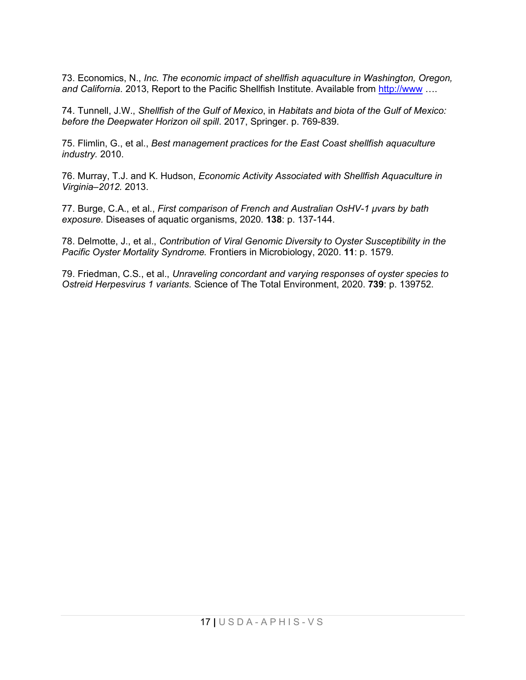73. Economics, N., *Inc. The economic impact of shellfish aquaculture in Washington, Oregon,*  and California. 2013, Report to the Pacific Shellfish Institute. Available from [http://www](http://www/) ....

74. Tunnell, J.W., *Shellfish of the Gulf of Mexico*, in *Habitats and biota of the Gulf of Mexico: before the Deepwater Horizon oil spill*. 2017, Springer. p. 769-839.

75. Flimlin, G., et al., *Best management practices for the East Coast shellfish aquaculture industry.* 2010.

76. Murray, T.J. and K. Hudson, *Economic Activity Associated with Shellfish Aquaculture in Virginia–2012.* 2013.

77. Burge, C.A., et al., *First comparison of French and Australian OsHV-1 µvars by bath exposure.* Diseases of aquatic organisms, 2020. **138**: p. 137-144.

78. Delmotte, J., et al., *Contribution of Viral Genomic Diversity to Oyster Susceptibility in the Pacific Oyster Mortality Syndrome.* Frontiers in Microbiology, 2020. **11**: p. 1579.

79. Friedman, C.S., et al., *Unraveling concordant and varying responses of oyster species to Ostreid Herpesvirus 1 variants.* Science of The Total Environment, 2020. **739**: p. 139752.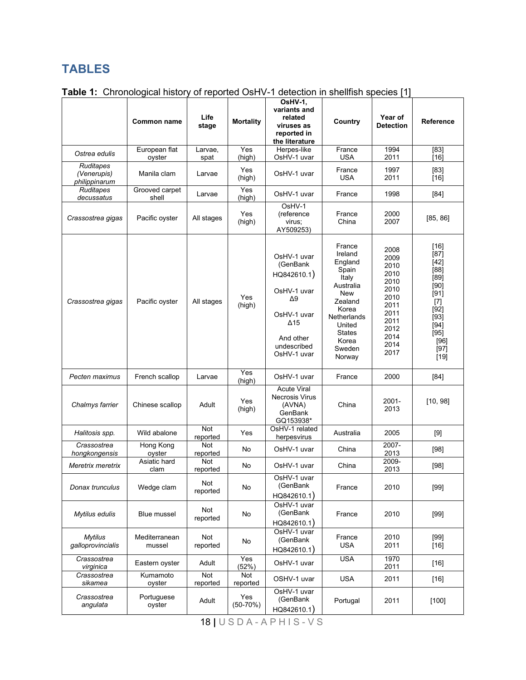# **TABLES**

|                                           | Common name             | Life<br>stage   | <b>Mortality</b>  | OsHV-1,<br>variants and<br>related<br>viruses as<br>reported in<br>the literature                                                    | Country                                                                                                                                                       | Year of<br><b>Detection</b>                                                                                  | Reference                                                                                                                                       |
|-------------------------------------------|-------------------------|-----------------|-------------------|--------------------------------------------------------------------------------------------------------------------------------------|---------------------------------------------------------------------------------------------------------------------------------------------------------------|--------------------------------------------------------------------------------------------------------------|-------------------------------------------------------------------------------------------------------------------------------------------------|
| Ostrea edulis                             | European flat<br>oyster | Larvae,<br>spat | Yes<br>(high)     | Herpes-like<br>OsHV-1 uvar                                                                                                           | France<br><b>USA</b>                                                                                                                                          | 1994<br>2011                                                                                                 | $[83]$<br>[16]                                                                                                                                  |
| Ruditapes<br>(Venerupis)<br>philippinarum | Manila clam             | Larvae          | Yes<br>(high)     | OsHV-1 uvar                                                                                                                          | France<br><b>USA</b>                                                                                                                                          | 1997<br>2011                                                                                                 | $[83]$<br>$[16]$                                                                                                                                |
| Ruditapes<br>decussatus                   | Grooved carpet<br>shell | Larvae          | Yes<br>(high)     | OsHV-1 uvar                                                                                                                          | France                                                                                                                                                        | 1998                                                                                                         | $[84]$                                                                                                                                          |
| Crassostrea gigas                         | Pacific oyster          | All stages      | Yes<br>(high)     | OsHV-1<br>(reference<br>virus;<br>AY509253)                                                                                          | France<br>China                                                                                                                                               | 2000<br>2007                                                                                                 | [85, 86]                                                                                                                                        |
| Crassostrea gigas                         | Pacific oyster          | All stages      | Yes<br>(high)     | OsHV-1 uvar<br>(GenBank<br>HQ842610.1)<br>OsHV-1 uvar<br>Δ9<br>OsHV-1 uvar<br>$\Delta$ 15<br>And other<br>undescribed<br>OsHV-1 uvar | France<br>Ireland<br>England<br>Spain<br>Italy<br>Australia<br>New<br>Zealand<br>Korea<br>Netherlands<br>United<br><b>States</b><br>Korea<br>Sweden<br>Norway | 2008<br>2009<br>2010<br>2010<br>2010<br>2010<br>2010<br>2011<br>2011<br>2011<br>2012<br>2014<br>2014<br>2017 | [16]<br>$[87]$<br>$[42]$<br>$[88]$<br>$[89]$<br>$[90]$<br>$[91]$<br>$[7]$<br>$[92]$<br>$[93]$<br>$[94]$<br>$[95]$<br>$[96]$<br>$[97]$<br>$[19]$ |
| Pecten maximus                            | French scallop          | Larvae          | Yes<br>(high)     | OsHV-1 uvar                                                                                                                          | France                                                                                                                                                        | 2000                                                                                                         | $[84]$                                                                                                                                          |
| Chalmys farrier                           | Chinese scallop         | Adult           | Yes<br>(high)     | <b>Acute Viral</b><br>Necrosis Virus<br>(AVNA)<br>GenBank<br>GQ153938*                                                               | China                                                                                                                                                         | 2001-<br>2013                                                                                                | [10, 98]                                                                                                                                        |
| Halitosis spp.                            | Wild abalone            | Not<br>reported | Yes               | OsHV-1 related<br>herpesvirus                                                                                                        | Australia                                                                                                                                                     | 2005                                                                                                         | $[9]$                                                                                                                                           |
| Crassostrea<br>hongkongensis              | Hong Kong<br>oyster     | Not<br>reported | No                | OsHV-1 uvar                                                                                                                          | China                                                                                                                                                         | 2007-<br>2013                                                                                                | $[98]$                                                                                                                                          |
| Meretrix meretrix                         | Asiatic hard<br>clam    | Not<br>reported | No                | OsHV-1 uvar                                                                                                                          | China                                                                                                                                                         | 2009-<br>2013                                                                                                | $[98]$                                                                                                                                          |
| Donax trunculus                           | Wedge clam              | Not<br>reported | No                | OsHV-1 uvar<br>(GenBank<br>HQ842610.1)                                                                                               | France                                                                                                                                                        | 2010                                                                                                         | $[99]$                                                                                                                                          |
| Mytilus edulis                            | Blue mussel             | Not<br>reported | No                | OsHV-1 uvar<br>(GenBank<br>HQ842610.1)                                                                                               | France                                                                                                                                                        | 2010                                                                                                         | $[99]$                                                                                                                                          |
| <b>Mytilus</b><br>galloprovincialis       | Mediterranean<br>mussel | Not<br>reported | No                | OsHV-1 uvar<br>(GenBank<br>HQ842610.1)                                                                                               | France<br><b>USA</b>                                                                                                                                          | 2010<br>2011                                                                                                 | $[99]$<br>$[16]$                                                                                                                                |
| Crassostrea<br>virginica                  | Eastern oyster          | Adult           | Yes<br>(52%)      | OsHV-1 uvar                                                                                                                          | <b>USA</b>                                                                                                                                                    | 1970<br>2011                                                                                                 | $[16]$                                                                                                                                          |
| Crassostrea<br>sikamea                    | Kumamoto<br>oyster      | Not<br>reported | Not<br>reported   | OSHV-1 uvar                                                                                                                          | <b>USA</b>                                                                                                                                                    | 2011                                                                                                         | $[16]$                                                                                                                                          |
| Crassostrea<br>angulata                   | Portuguese<br>oyster    | Adult           | Yes<br>$(50-70%)$ | OsHV-1 uvar<br>(GenBank<br>HQ842610.1)                                                                                               | Portugal                                                                                                                                                      | 2011                                                                                                         | $[100]$                                                                                                                                         |

## **Table 1:** Chronological history of reported OsHV-1 detection in shellfish species [1]

18 **|** USDA - APHIS - V S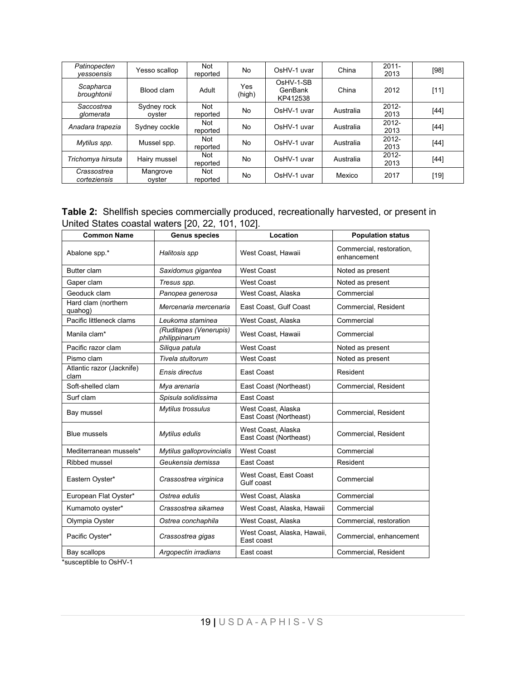| Patinopecten<br>vessoensis  | Yesso scallop         | Not<br>reported        | No.           | OsHV-1 uvar                      | China     | $2011 -$<br>2013 | $[98]$ |
|-----------------------------|-----------------------|------------------------|---------------|----------------------------------|-----------|------------------|--------|
| Scapharca<br>broughtonii    | Blood clam            | Adult                  | Yes<br>(high) | OsHV-1-SB<br>GenBank<br>KP412538 | China     | 2012             | $[11]$ |
| Saccostrea<br>glomerata     | Sydney rock<br>ovster | <b>Not</b><br>reported | No            | OsHV-1 uvar                      | Australia | $2012 -$<br>2013 | [44]   |
| Anadara trapezia            | Sydney cockle         | Not<br>reported        | No            | OsHV-1 uvar                      | Australia | $2012 -$<br>2013 | [44]   |
| Mytilus spp.                | Mussel spp.           | Not<br>reported        | No            | OsHV-1 uvar                      | Australia | $2012 -$<br>2013 | [44]   |
| Trichomya hirsuta           | Hairy mussel          | Not<br>reported        | No            | OsHV-1 uvar                      | Australia | $2012 -$<br>2013 | [44]   |
| Crassostrea<br>corteziensis | Mangrove<br>ovster    | Not<br>reported        | No            | OsHV-1 uvar                      | Mexico    | 2017             | $[19]$ |

**Table 2:** Shellfish species commercially produced, recreationally harvested, or present in United States coastal waters [20, 22, 101, 102].

| <b>Common Name</b>                | <b>Genus species</b>                    | Location                                     | <b>Population status</b>                |
|-----------------------------------|-----------------------------------------|----------------------------------------------|-----------------------------------------|
| Abalone spp.*                     | Halitosis spp                           | West Coast, Hawaii                           | Commercial, restoration,<br>enhancement |
| Butter clam                       | Saxidomus gigantea                      | <b>West Coast</b>                            | Noted as present                        |
| Gaper clam                        | Tresus spp.                             | <b>West Coast</b>                            | Noted as present                        |
| Geoduck clam                      | Panopea generosa                        | West Coast. Alaska                           | Commercial                              |
| Hard clam (northern<br>quahog)    | Mercenaria mercenaria                   | East Coast, Gulf Coast                       | Commercial, Resident                    |
| Pacific littleneck clams          | Leukoma staminea                        | West Coast, Alaska                           | Commercial                              |
| Manila clam*                      | (Ruditapes (Venerupis)<br>philippinarum | West Coast. Hawaii                           | Commercial                              |
| Pacific razor clam                | Siliqua patula                          | <b>West Coast</b>                            | Noted as present                        |
| Pismo clam                        | Tivela stultorum                        | <b>West Coast</b>                            | Noted as present                        |
| Atlantic razor (Jacknife)<br>clam | Ensis directus                          | East Coast                                   | Resident                                |
| Soft-shelled clam                 | Mya arenaria                            | East Coast (Northeast)                       | Commercial, Resident                    |
| Surf clam                         | Spisula solidissima                     | East Coast                                   |                                         |
| Bay mussel                        | Mytilus trossulus                       | West Coast. Alaska<br>East Coast (Northeast) | Commercial, Resident                    |
| <b>Blue mussels</b>               | Mytilus edulis                          | West Coast. Alaska<br>East Coast (Northeast) | Commercial, Resident                    |
| Mediterranean mussels*            | Mytilus galloprovincialis               | <b>West Coast</b>                            | Commercial                              |
| Ribbed mussel                     | Geukensia demissa                       | East Coast                                   | Resident                                |
| Eastern Oyster*                   | Crassostrea virginica                   | West Coast. East Coast<br>Gulf coast.        | Commercial                              |
| European Flat Oyster*             | Ostrea edulis                           | West Coast, Alaska                           | Commercial                              |
| Kumamoto oyster*                  | Crassostrea sikamea                     | West Coast, Alaska, Hawaii                   | Commercial                              |
| Olympia Oyster                    | Ostrea conchaphila                      | West Coast, Alaska                           | Commercial, restoration                 |
| Pacific Oyster*                   | Crassostrea gigas                       | West Coast, Alaska, Hawaii,<br>Fast coast    | Commercial, enhancement                 |
| Bay scallops                      | Argopectin irradians                    | East coast                                   | Commercial, Resident                    |

\*susceptible to OsHV-1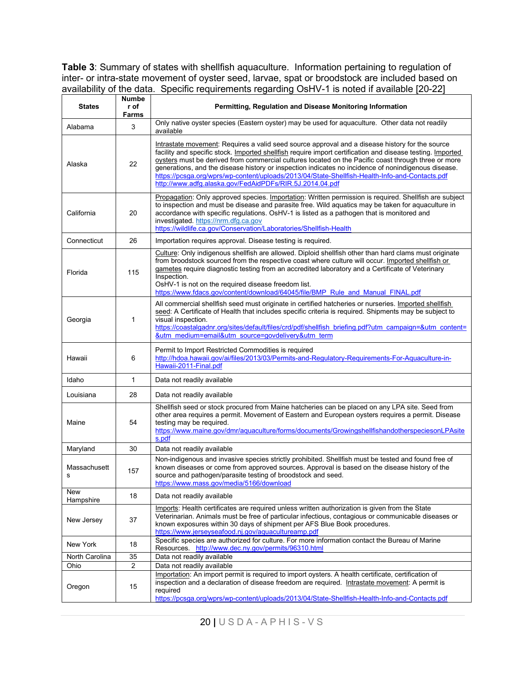**Table 3**: Summary of states with shellfish aquaculture. Information pertaining to regulation of inter- or intra-state movement of oyster seed, larvae, spat or broodstock are included based on availability of the data. Specific requirements regarding OsHV-1 is noted if available [20-22]

| <b>States</b>     | Numbe<br>r of<br>Farms                                                                                                                                                                                                                                                                                                                                                                                                                                                                                                                                                                    | Permitting, Regulation and Disease Monitoring Information                                                                                                                                                                                                                                                                                                                                                                                                                |  |  |  |  |  |
|-------------------|-------------------------------------------------------------------------------------------------------------------------------------------------------------------------------------------------------------------------------------------------------------------------------------------------------------------------------------------------------------------------------------------------------------------------------------------------------------------------------------------------------------------------------------------------------------------------------------------|--------------------------------------------------------------------------------------------------------------------------------------------------------------------------------------------------------------------------------------------------------------------------------------------------------------------------------------------------------------------------------------------------------------------------------------------------------------------------|--|--|--|--|--|
| Alabama           | 3                                                                                                                                                                                                                                                                                                                                                                                                                                                                                                                                                                                         | Only native oyster species (Eastern oyster) may be used for aquaculture. Other data not readily<br>available                                                                                                                                                                                                                                                                                                                                                             |  |  |  |  |  |
| Alaska            | Intrastate movement: Requires a valid seed source approval and a disease history for the source<br>facility and specific stock. Imported shellfish require import certification and disease testing. Imported<br>oysters must be derived from commercial cultures located on the Pacific coast through three or more<br>generations, and the disease history or inspection indicates no incidence of nonindigenous disease.<br>https://pcsga.org/wprs/wp-content/uploads/2013/04/State-Shellfish-Health-Info-and-Contacts.pdf<br>http://www.adfg.alaska.gov/FedAidPDFs/RIR.5J.2014.04.pdf |                                                                                                                                                                                                                                                                                                                                                                                                                                                                          |  |  |  |  |  |
| California        | 20                                                                                                                                                                                                                                                                                                                                                                                                                                                                                                                                                                                        | Propagation: Only approved species. Importation: Written permission is required. Shellfish are subject<br>to inspection and must be disease and parasite free. Wild aquatics may be taken for aquaculture in<br>accordance with specific regulations. OsHV-1 is listed as a pathogen that is monitored and<br>investigated https://nrm.dfg.ca.gov<br>https://wildlife.ca.gov/Conservation/Laboratories/Shellfish-Health                                                  |  |  |  |  |  |
| Connecticut       | 26                                                                                                                                                                                                                                                                                                                                                                                                                                                                                                                                                                                        | Importation requires approval. Disease testing is required.                                                                                                                                                                                                                                                                                                                                                                                                              |  |  |  |  |  |
| Florida           | 115                                                                                                                                                                                                                                                                                                                                                                                                                                                                                                                                                                                       | Culture: Only indigenous shellfish are allowed. Diploid shellfish other than hard clams must originate<br>from broodstock sourced from the respective coast where culture will occur. Imported shellfish or<br>gametes require diagnostic testing from an accredited laboratory and a Certificate of Veterinary<br>Inspection.<br>OsHV-1 is not on the required disease freedom list.<br>https://www.fdacs.gov/content/download/64045/file/BMP Rule and Manual FINAL.pdf |  |  |  |  |  |
| Georgia           | 1                                                                                                                                                                                                                                                                                                                                                                                                                                                                                                                                                                                         | All commercial shellfish seed must originate in certified hatcheries or nurseries. Imported shellfish<br>seed: A Certificate of Health that includes specific criteria is required. Shipments may be subject to<br>visual inspection.<br>https://coastalgadnr.org/sites/default/files/crd/pdf/shellfish_briefing.pdf?utm_campaign=&utm_content=<br>&utm medium=email&utm source=govdelivery&utm term                                                                     |  |  |  |  |  |
| Hawaii            | 6                                                                                                                                                                                                                                                                                                                                                                                                                                                                                                                                                                                         | Permit to Import Restricted Commodities is required<br>http://hdoa.hawaii.gov/ai/files/2013/03/Permits-and-Regulatory-Requirements-For-Aquaculture-in-<br>Hawaii-2011-Final.pdf                                                                                                                                                                                                                                                                                          |  |  |  |  |  |
| Idaho             | 1                                                                                                                                                                                                                                                                                                                                                                                                                                                                                                                                                                                         | Data not readily available                                                                                                                                                                                                                                                                                                                                                                                                                                               |  |  |  |  |  |
| Louisiana         | 28                                                                                                                                                                                                                                                                                                                                                                                                                                                                                                                                                                                        | Data not readily available                                                                                                                                                                                                                                                                                                                                                                                                                                               |  |  |  |  |  |
| Maine             | 54                                                                                                                                                                                                                                                                                                                                                                                                                                                                                                                                                                                        | Shellfish seed or stock procured from Maine hatcheries can be placed on any LPA site. Seed from<br>other area requires a permit. Movement of Eastern and European oysters requires a permit. Disease<br>testing may be required.<br>https://www.maine.gov/dmr/aquaculture/forms/documents/GrowingshellfishandotherspeciesonLPAsite<br>s.pdf                                                                                                                              |  |  |  |  |  |
| Maryland          | 30                                                                                                                                                                                                                                                                                                                                                                                                                                                                                                                                                                                        | Data not readily available                                                                                                                                                                                                                                                                                                                                                                                                                                               |  |  |  |  |  |
| Massachusett<br>s | 157                                                                                                                                                                                                                                                                                                                                                                                                                                                                                                                                                                                       | Non-indigenous and invasive species strictly prohibited. Shellfish must be tested and found free of<br>known diseases or come from approved sources. Approval is based on the disease history of the<br>source and pathogen/parasite testing of broodstock and seed.<br>https://www.mass.gov/media/5166/download                                                                                                                                                         |  |  |  |  |  |
| New<br>Hampshire  | 18                                                                                                                                                                                                                                                                                                                                                                                                                                                                                                                                                                                        | Data not readily available                                                                                                                                                                                                                                                                                                                                                                                                                                               |  |  |  |  |  |
| New Jersey        | 37                                                                                                                                                                                                                                                                                                                                                                                                                                                                                                                                                                                        | Imports: Health certificates are required unless written authorization is given from the State<br>Veterinarian. Animals must be free of particular infectious, contagious or communicable diseases or<br>known exposures within 30 days of shipment per AFS Blue Book procedures.<br>https://www.jerseyseafood.nj.gov/aquacultureamp.pdf                                                                                                                                 |  |  |  |  |  |
| New York          | 18                                                                                                                                                                                                                                                                                                                                                                                                                                                                                                                                                                                        | Specific species are authorized for culture. For more information contact the Bureau of Marine<br>Resources. http://www.dec.ny.gov/permits/96310.html                                                                                                                                                                                                                                                                                                                    |  |  |  |  |  |
| North Carolina    | 35                                                                                                                                                                                                                                                                                                                                                                                                                                                                                                                                                                                        | Data not readily available                                                                                                                                                                                                                                                                                                                                                                                                                                               |  |  |  |  |  |
| Ohio              | 2                                                                                                                                                                                                                                                                                                                                                                                                                                                                                                                                                                                         | Data not readily available                                                                                                                                                                                                                                                                                                                                                                                                                                               |  |  |  |  |  |
| Oregon            | 15                                                                                                                                                                                                                                                                                                                                                                                                                                                                                                                                                                                        | Importation: An import permit is required to import oysters. A health certificate, certification of<br>inspection and a declaration of disease freedom are required. Intrastate movement: A permit is<br>required<br>https://pcsga.org/wprs/wp-content/uploads/2013/04/State-Shellfish-Health-Info-and-Contacts.pdf                                                                                                                                                      |  |  |  |  |  |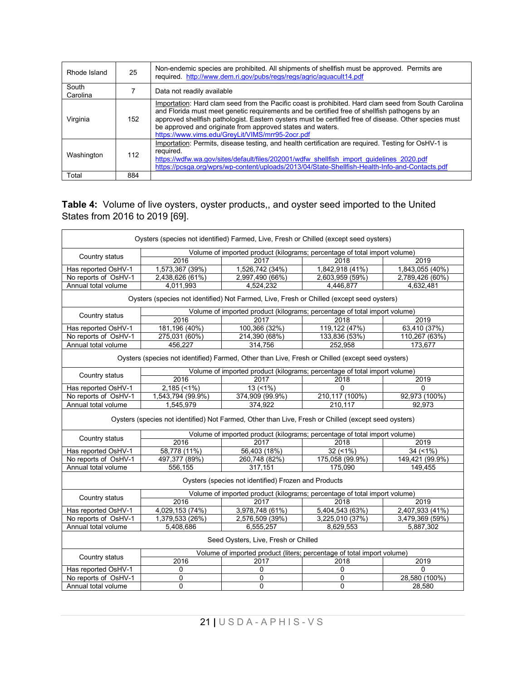| Rhode Island      | 25  | Non-endemic species are prohibited. All shipments of shellfish must be approved. Permits are<br>required. http://www.dem.ri.gov/pubs/regs/regs/agric/aquacult14.pdf                                                                                                                                                                                                                                                              |
|-------------------|-----|----------------------------------------------------------------------------------------------------------------------------------------------------------------------------------------------------------------------------------------------------------------------------------------------------------------------------------------------------------------------------------------------------------------------------------|
| South<br>Carolina |     | Data not readily available                                                                                                                                                                                                                                                                                                                                                                                                       |
| Virginia          | 152 | Importation: Hard clam seed from the Pacific coast is prohibited. Hard clam seed from South Carolina<br>and Florida must meet genetic requirements and be certified free of shellfish pathogens by an<br>approved shellfish pathologist. Eastern oysters must be certified free of disease. Other species must<br>be approved and originate from approved states and waters.<br>https://www.vims.edu/GreyLit/VIMS/mrr95-2ocr.pdf |
| Washington        | 112 | Importation: Permits, disease testing, and health certification are required. Testing for OsHV-1 is<br>reguired.<br>https://wdfw.wa.gov/sites/default/files/202001/wdfw shellfish import guidelines 2020.pdf<br>https://pcsqa.org/wprs/wp-content/uploads/2013/04/State-Shellfish-Health-Info-and-Contacts.pdf                                                                                                                   |
| Total             | 884 |                                                                                                                                                                                                                                                                                                                                                                                                                                  |

#### **Table 4:** Volume of live oysters, oyster products,, and oyster seed imported to the United States from 2016 to 2019 [69].

|                                                                                           | Oysters (species not identified) Farmed, Live, Fresh or Chilled (except seed oysters)                |                                                      |                                                                           |                 |  |  |  |  |  |
|-------------------------------------------------------------------------------------------|------------------------------------------------------------------------------------------------------|------------------------------------------------------|---------------------------------------------------------------------------|-----------------|--|--|--|--|--|
|                                                                                           |                                                                                                      |                                                      | Volume of imported product (kilograms; percentage of total import volume) |                 |  |  |  |  |  |
| Country status                                                                            | 2016                                                                                                 | 2017                                                 | 2018                                                                      | 2019            |  |  |  |  |  |
| Has reported OsHV-1                                                                       | 1,573,367 (39%)                                                                                      | 1,526,742 (34%)                                      | 1,842,918 (41%)                                                           | 1,843,055 (40%) |  |  |  |  |  |
| No reports of OsHV-1                                                                      | 2,438,626 (61%)                                                                                      | 2,997,490 (66%)                                      | 2,603,959 (59%)                                                           | 2,789,426 (60%) |  |  |  |  |  |
| Annual total volume                                                                       | 4,011,993                                                                                            | 4,524,232                                            | 4,446,877                                                                 | 4,632,481       |  |  |  |  |  |
| Oysters (species not identified) Not Farmed, Live, Fresh or Chilled (except seed oysters) |                                                                                                      |                                                      |                                                                           |                 |  |  |  |  |  |
| Country status                                                                            |                                                                                                      |                                                      | Volume of imported product (kilograms; percentage of total import volume) |                 |  |  |  |  |  |
|                                                                                           | 2016                                                                                                 | 2017                                                 | 2018                                                                      | 2019            |  |  |  |  |  |
| Has reported OsHV-1                                                                       | 181,196 (40%)                                                                                        | 100,366 (32%)                                        | 119,122 (47%)                                                             | 63,410 (37%)    |  |  |  |  |  |
| No reports of OsHV-1                                                                      | 275,031 (60%)                                                                                        | 214,390 (68%)                                        | 133,836 (53%)                                                             | 110,267 (63%)   |  |  |  |  |  |
| Annual total volume                                                                       | 456.227                                                                                              | 314.756                                              | 252.958                                                                   | 173.677         |  |  |  |  |  |
|                                                                                           | Oysters (species not identified) Farmed, Other than Live, Fresh or Chilled (except seed oysters)     |                                                      |                                                                           |                 |  |  |  |  |  |
| Country status                                                                            |                                                                                                      |                                                      | Volume of imported product (kilograms; percentage of total import volume) |                 |  |  |  |  |  |
|                                                                                           | 2016                                                                                                 | 2017                                                 | 2018                                                                      | 2019            |  |  |  |  |  |
| Has reported OsHV-1                                                                       | $2,185$ (<1%)                                                                                        | $13(51\%)$                                           | $\Omega$                                                                  | $\Omega$        |  |  |  |  |  |
| No reports of OsHV-1                                                                      | 1,543,794 (99.9%)                                                                                    | 374,909 (99.9%)                                      | 210,117 (100%)                                                            | 92,973 (100%)   |  |  |  |  |  |
| Annual total volume                                                                       | 1,545,979                                                                                            | 374,922                                              | 210,117                                                                   | 92.973          |  |  |  |  |  |
|                                                                                           | Oysters (species not identified) Not Farmed, Other than Live, Fresh or Chilled (except seed oysters) |                                                      |                                                                           |                 |  |  |  |  |  |
| Country status                                                                            |                                                                                                      |                                                      | Volume of imported product (kilograms; percentage of total import volume) |                 |  |  |  |  |  |
|                                                                                           | 2016                                                                                                 | 2017                                                 | 2018                                                                      | 2019            |  |  |  |  |  |
| Has reported OsHV-1                                                                       | 58,778 (11%)                                                                                         | 56,403 (18%)                                         | 32(1%)                                                                    | $34 (+1%)$      |  |  |  |  |  |
| No reports of OsHV-1                                                                      | 497,377 (89%)                                                                                        | 260,748 (82%)                                        | 175,058 (99.9%)                                                           | 149,421 (99.9%) |  |  |  |  |  |
| Annual total volume                                                                       | 556,155                                                                                              | 317,151                                              | 175,090                                                                   | 149,455         |  |  |  |  |  |
|                                                                                           |                                                                                                      | Oysters (species not identified) Frozen and Products |                                                                           |                 |  |  |  |  |  |
|                                                                                           |                                                                                                      |                                                      | Volume of imported product (kilograms; percentage of total import volume) |                 |  |  |  |  |  |
| Country status                                                                            | 2016                                                                                                 | 2017                                                 | 2018                                                                      | 2019            |  |  |  |  |  |
| Has reported OsHV-1                                                                       | 4,029,153 (74%)                                                                                      | 3,978,748 (61%)                                      | 5,404,543 (63%)                                                           | 2,407,933 (41%) |  |  |  |  |  |
| No reports of OsHV-1                                                                      | 1,379,533 (26%)                                                                                      | 2,576,509 (39%)                                      | 3,225,010 (37%)                                                           | 3,479,369 (59%) |  |  |  |  |  |
| Annual total volume                                                                       | 5,408,686                                                                                            | 6,555,257                                            | 8,629,553                                                                 | 5,887,302       |  |  |  |  |  |
| Seed Oysters, Live, Fresh or Chilled                                                      |                                                                                                      |                                                      |                                                                           |                 |  |  |  |  |  |
| Country status                                                                            | Volume of imported product (liters; percentage of total import volume)                               |                                                      |                                                                           |                 |  |  |  |  |  |
|                                                                                           | 2016                                                                                                 | 2017                                                 | 2018                                                                      | 2019            |  |  |  |  |  |
| Has reported OsHV-1                                                                       | 0                                                                                                    | 0                                                    | 0                                                                         | $\Omega$        |  |  |  |  |  |
| No reports of OsHV-1                                                                      | $\mathbf 0$                                                                                          | 0                                                    | 0                                                                         | 28,580 (100%)   |  |  |  |  |  |
| Annual total volume                                                                       | 0                                                                                                    | $\mathbf{0}$                                         | 0                                                                         | 28,580          |  |  |  |  |  |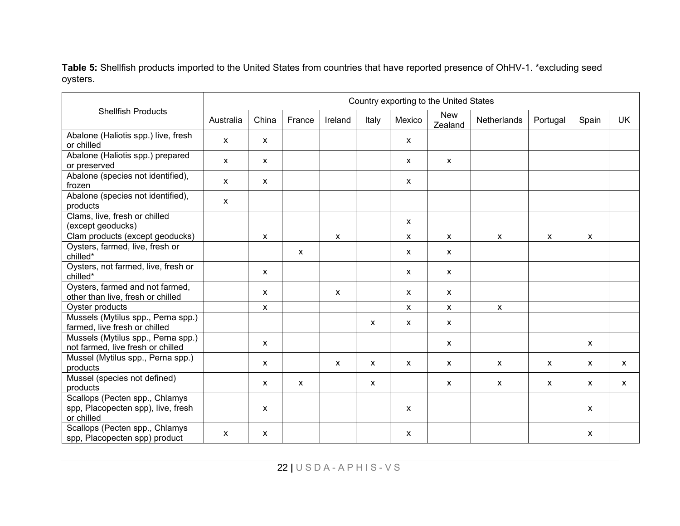**Table 5:** Shellfish products imported to the United States from countries that have reported presence of OhHV-1. \*excluding seed oysters.

|                                                                                    | Country exporting to the United States |                           |        |              |              |                           |                           |                           |              |              |              |
|------------------------------------------------------------------------------------|----------------------------------------|---------------------------|--------|--------------|--------------|---------------------------|---------------------------|---------------------------|--------------|--------------|--------------|
| <b>Shellfish Products</b>                                                          | Australia                              | China                     | France | Ireland      | Italy        | Mexico                    | <b>New</b><br>Zealand     | Netherlands               | Portugal     | Spain        | <b>UK</b>    |
| Abalone (Haliotis spp.) live, fresh<br>or chilled                                  | X                                      | $\boldsymbol{\mathsf{x}}$ |        |              |              | $\boldsymbol{\mathsf{x}}$ |                           |                           |              |              |              |
| Abalone (Haliotis spp.) prepared<br>or preserved                                   | X                                      | $\boldsymbol{\mathsf{x}}$ |        |              |              | $\mathsf{x}$              | $\mathsf{x}$              |                           |              |              |              |
| Abalone (species not identified),<br>frozen                                        | $\mathsf{x}$                           | $\boldsymbol{\mathsf{x}}$ |        |              |              | $\mathsf{x}$              |                           |                           |              |              |              |
| Abalone (species not identified),<br>products                                      | X                                      |                           |        |              |              |                           |                           |                           |              |              |              |
| Clams, live, fresh or chilled<br>(except geoducks)                                 |                                        |                           |        |              |              | $\mathsf{x}$              |                           |                           |              |              |              |
| Clam products (except geoducks)                                                    |                                        | $\pmb{\mathsf{x}}$        |        | X            |              | $\boldsymbol{\mathsf{x}}$ | $\mathsf X$               | $\mathsf{x}$              | $\mathsf{x}$ | X            |              |
| Oysters, farmed, live, fresh or<br>chilled*                                        |                                        |                           | X      |              |              | $\mathsf{x}$              | $\boldsymbol{\mathsf{X}}$ |                           |              |              |              |
| Oysters, not farmed, live, fresh or<br>chilled*                                    |                                        | $\boldsymbol{\mathsf{x}}$ |        |              |              | X                         | X                         |                           |              |              |              |
| Oysters, farmed and not farmed,<br>other than live, fresh or chilled               |                                        | X                         |        | X            |              | $\mathsf{x}$              | $\boldsymbol{\mathsf{x}}$ |                           |              |              |              |
| Oyster products                                                                    |                                        | X                         |        |              |              | $\mathsf{x}$              | $\mathsf X$               | X                         |              |              |              |
| Mussels (Mytilus spp., Perna spp.)<br>farmed, live fresh or chilled                |                                        |                           |        |              | X            | $\mathsf{x}$              | $\mathsf{x}$              |                           |              |              |              |
| Mussels (Mytilus spp., Perna spp.)<br>not farmed, live fresh or chilled            |                                        | $\boldsymbol{\mathsf{x}}$ |        |              |              |                           | X                         |                           |              | $\mathsf{x}$ |              |
| Mussel (Mytilus spp., Perna spp.)<br>products                                      |                                        | $\boldsymbol{\mathsf{x}}$ |        | $\mathsf{x}$ | $\mathsf{x}$ | $\mathsf{x}$              | $\mathsf{x}$              | $\boldsymbol{\mathsf{x}}$ | X            | $\mathsf{x}$ | $\mathsf{x}$ |
| Mussel (species not defined)<br>products                                           |                                        | $\boldsymbol{\mathsf{x}}$ | X      |              | X            |                           | $\mathsf{x}$              | $\boldsymbol{\mathsf{x}}$ | $\mathsf{x}$ | $\mathsf{x}$ | X            |
| Scallops (Pecten spp., Chlamys<br>spp, Placopecten spp), live, fresh<br>or chilled |                                        | X                         |        |              |              | X                         |                           |                           |              | $\mathsf{x}$ |              |
| Scallops (Pecten spp., Chlamys<br>spp, Placopecten spp) product                    | X                                      | $\boldsymbol{\mathsf{x}}$ |        |              |              | $\mathsf{x}$              |                           |                           |              | X            |              |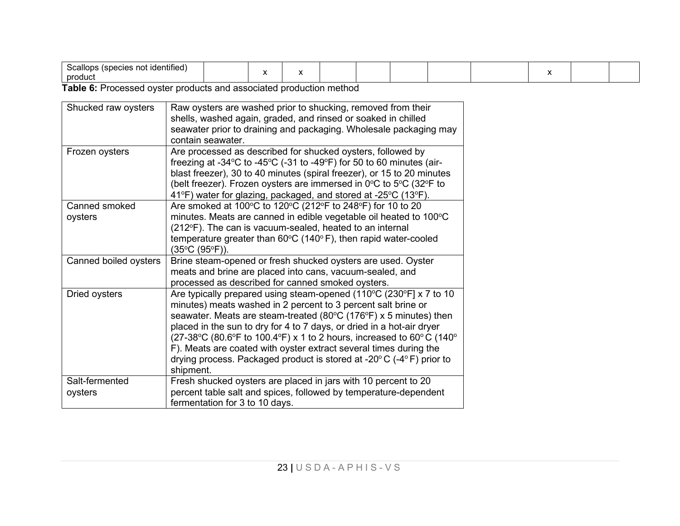| -<br>,,,,<br>. .<br>product |  |  |  |  |  |  |  |  |  |
|-----------------------------|--|--|--|--|--|--|--|--|--|
|-----------------------------|--|--|--|--|--|--|--|--|--|

**Table 6:** Processed oyster products and associated production method

| Shucked raw oysters       | Raw oysters are washed prior to shucking, removed from their<br>shells, washed again, graded, and rinsed or soaked in chilled<br>seawater prior to draining and packaging. Wholesale packaging may<br>contain seawater.                                                                                                                                                                                                                                                                                                                |
|---------------------------|----------------------------------------------------------------------------------------------------------------------------------------------------------------------------------------------------------------------------------------------------------------------------------------------------------------------------------------------------------------------------------------------------------------------------------------------------------------------------------------------------------------------------------------|
| Frozen oysters            | Are processed as described for shucked oysters, followed by<br>freezing at -34 $\mathrm{^{\circ}C}$ to -45 $\mathrm{^{\circ}C}$ (-31 to -49 $\mathrm{^{\circ}F}$ ) for 50 to 60 minutes (air-<br>blast freezer), 30 to 40 minutes (spiral freezer), or 15 to 20 minutes<br>(belt freezer). Frozen oysters are immersed in 0°C to 5°C (32°F to<br>41°F) water for glazing, packaged, and stored at -25°C (13°F).                                                                                                                        |
| Canned smoked<br>oysters  | Are smoked at 100°C to 120°C (212°F to 248°F) for 10 to 20<br>minutes. Meats are canned in edible vegetable oil heated to 100°C<br>(212°F). The can is vacuum-sealed, heated to an internal<br>temperature greater than $60^{\circ}$ C (140 $^{\circ}$ F), then rapid water-cooled<br>(35°C (95°F)).                                                                                                                                                                                                                                   |
| Canned boiled oysters     | Brine steam-opened or fresh shucked oysters are used. Oyster<br>meats and brine are placed into cans, vacuum-sealed, and<br>processed as described for canned smoked oysters.                                                                                                                                                                                                                                                                                                                                                          |
| Dried oysters             | Are typically prepared using steam-opened (110°C (230°F] x 7 to 10<br>minutes) meats washed in 2 percent to 3 percent salt brine or<br>seawater. Meats are steam-treated (80°C (176°F) x 5 minutes) then<br>placed in the sun to dry for 4 to 7 days, or dried in a hot-air dryer<br>(27-38°C (80.6°F to 100.4°F) x 1 to 2 hours, increased to 60°C (140°<br>F). Meats are coated with oyster extract several times during the<br>drying process. Packaged product is stored at -20 $\degree$ C (-4 $\degree$ F) prior to<br>shipment. |
| Salt-fermented<br>oysters | Fresh shucked oysters are placed in jars with 10 percent to 20<br>percent table salt and spices, followed by temperature-dependent<br>fermentation for 3 to 10 days.                                                                                                                                                                                                                                                                                                                                                                   |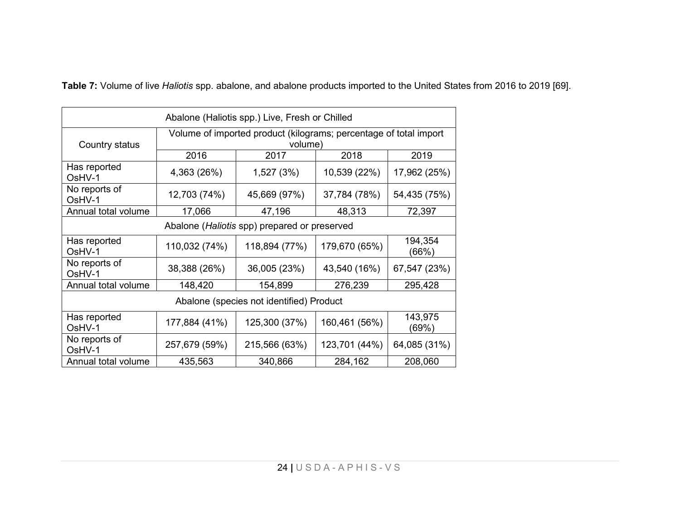**Table 7:** Volume of live *Haliotis* spp. abalone, and abalone products imported to the United States from 2016 to 2019 [69].

| Abalone (Haliotis spp.) Live, Fresh or Chilled                                                 |               |               |               |                  |  |  |  |  |
|------------------------------------------------------------------------------------------------|---------------|---------------|---------------|------------------|--|--|--|--|
| Volume of imported product (kilograms; percentage of total import<br>Country status<br>volume) |               |               |               |                  |  |  |  |  |
|                                                                                                | 2016          | 2017          | 2018          | 2019             |  |  |  |  |
| Has reported<br>OsHV-1                                                                         | 4,363 (26%)   | 1,527 (3%)    | 10,539 (22%)  | 17,962 (25%)     |  |  |  |  |
| No reports of<br>OsHV-1                                                                        | 12,703 (74%)  | 45,669 (97%)  | 37,784 (78%)  | 54,435 (75%)     |  |  |  |  |
| Annual total volume                                                                            | 17,066        | 47,196        | 48,313        | 72,397           |  |  |  |  |
| Abalone (Haliotis spp) prepared or preserved                                                   |               |               |               |                  |  |  |  |  |
| Has reported<br>OsHV-1                                                                         | 110,032 (74%) | 118,894 (77%) | 179,670 (65%) | 194,354<br>(66%) |  |  |  |  |
| No reports of<br>OsHV-1                                                                        | 38,388 (26%)  | 36,005 (23%)  | 43,540 (16%)  | 67,547 (23%)     |  |  |  |  |
| Annual total volume                                                                            | 148,420       | 154,899       | 276,239       | 295,428          |  |  |  |  |
| Abalone (species not identified) Product                                                       |               |               |               |                  |  |  |  |  |
| Has reported<br>OsHV-1                                                                         | 177,884 (41%) | 125,300 (37%) | 160,461 (56%) | 143,975<br>(69%) |  |  |  |  |
| No reports of<br>OsHV-1                                                                        | 257,679 (59%) | 215,566 (63%) | 123,701 (44%) | 64,085 (31%)     |  |  |  |  |
| Annual total volume                                                                            | 435,563       | 340,866       | 284,162       | 208,060          |  |  |  |  |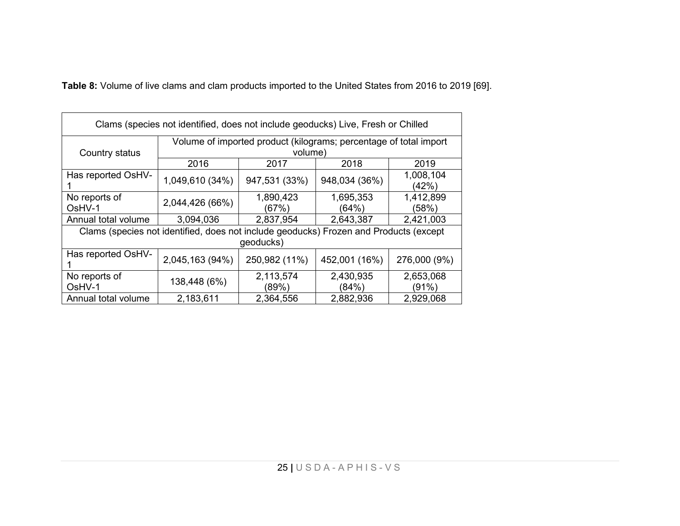**Table 8:** Volume of live clams and clam products imported to the United States from 2016 to 2019 [69].

| Clams (species not identified, does not include geoducks) Live, Fresh or Chilled |                                                                                       |               |               |              |  |  |  |  |
|----------------------------------------------------------------------------------|---------------------------------------------------------------------------------------|---------------|---------------|--------------|--|--|--|--|
| Volume of imported product (kilograms; percentage of total import                |                                                                                       |               |               |              |  |  |  |  |
| Country status                                                                   |                                                                                       | volume)       |               |              |  |  |  |  |
|                                                                                  | 2016                                                                                  | 2017          | 2018          | 2019         |  |  |  |  |
| Has reported OsHV-                                                               | 1,049,610 (34%)                                                                       | 947,531 (33%) | 948,034 (36%) | 1,008,104    |  |  |  |  |
|                                                                                  |                                                                                       |               |               | (42%)        |  |  |  |  |
| No reports of                                                                    | 2,044,426 (66%)                                                                       | 1,890,423     | 1,695,353     | 1,412,899    |  |  |  |  |
| OsHV-1                                                                           |                                                                                       | (67%)         | (64%)         | (58%)        |  |  |  |  |
| Annual total volume                                                              | 3,094,036                                                                             | 2,837,954     | 2,643,387     | 2,421,003    |  |  |  |  |
|                                                                                  | Clams (species not identified, does not include geoducks) Frozen and Products (except |               |               |              |  |  |  |  |
|                                                                                  |                                                                                       | geoducks)     |               |              |  |  |  |  |
| Has reported OsHV-                                                               | 2,045,163 (94%)                                                                       | 250,982 (11%) | 452,001 (16%) | 276,000 (9%) |  |  |  |  |
| No reports of                                                                    |                                                                                       | 2,113,574     | 2,430,935     | 2,653,068    |  |  |  |  |
| OsHV-1                                                                           | 138,448 (6%)                                                                          | (89%)         | (84%)         | (91%)        |  |  |  |  |
| Annual total volume                                                              | 2,183,611                                                                             | 2,364,556     | 2,882,936     | 2,929,068    |  |  |  |  |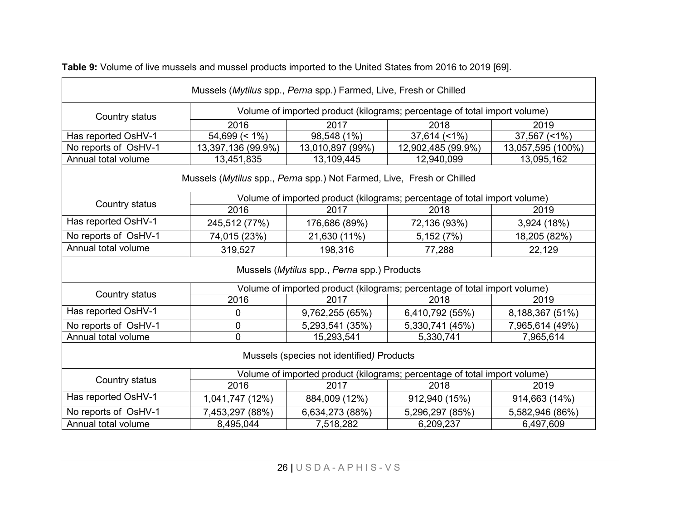| Mussels (Mytilus spp., Perna spp.) Farmed, Live, Fresh or Chilled     |                                                                           |                                             |                                                                           |                   |  |  |  |  |  |
|-----------------------------------------------------------------------|---------------------------------------------------------------------------|---------------------------------------------|---------------------------------------------------------------------------|-------------------|--|--|--|--|--|
| Country status                                                        | Volume of imported product (kilograms; percentage of total import volume) |                                             |                                                                           |                   |  |  |  |  |  |
|                                                                       | 2016                                                                      | 2017                                        | 2018                                                                      | 2019              |  |  |  |  |  |
| Has reported OsHV-1                                                   | $54,699 (= 1\%)$                                                          | 98,548 (1%)                                 | $37,614$ (<1%)                                                            | 37,567 (<1%)      |  |  |  |  |  |
| No reports of OsHV-1                                                  | 13,397,136 (99.9%)                                                        | 13,010,897 (99%)                            | 12,902,485 (99.9%)                                                        | 13,057,595 (100%) |  |  |  |  |  |
| Annual total volume                                                   | 13,451,835                                                                | 13,109,445                                  | 12,940,099                                                                | 13,095,162        |  |  |  |  |  |
| Mussels (Mytilus spp., Perna spp.) Not Farmed, Live, Fresh or Chilled |                                                                           |                                             |                                                                           |                   |  |  |  |  |  |
|                                                                       |                                                                           |                                             | Volume of imported product (kilograms; percentage of total import volume) |                   |  |  |  |  |  |
| Country status                                                        | 2016                                                                      | 2017                                        | 2018                                                                      | 2019              |  |  |  |  |  |
| Has reported OsHV-1                                                   | 245,512 (77%)                                                             | 176,686 (89%)                               | 72,136 (93%)                                                              | 3,924 (18%)       |  |  |  |  |  |
| No reports of OsHV-1                                                  | 74,015 (23%)                                                              | 21,630 (11%)                                | 5,152(7%)                                                                 | 18,205 (82%)      |  |  |  |  |  |
| Annual total volume                                                   | 319,527                                                                   | 198,316                                     | 77,288                                                                    | 22,129            |  |  |  |  |  |
|                                                                       |                                                                           | Mussels (Mytilus spp., Perna spp.) Products |                                                                           |                   |  |  |  |  |  |
|                                                                       |                                                                           |                                             | Volume of imported product (kilograms; percentage of total import volume) |                   |  |  |  |  |  |
| Country status                                                        | 2016                                                                      | 2017                                        | 2018                                                                      | 2019              |  |  |  |  |  |
| Has reported OsHV-1                                                   | 0                                                                         | 9,762,255 (65%)                             | 6,410,792 (55%)                                                           | 8,188,367 (51%)   |  |  |  |  |  |
| No reports of OsHV-1                                                  | $\mathbf 0$                                                               | 5,293,541 (35%)                             | 5,330,741 (45%)                                                           | 7,965,614 (49%)   |  |  |  |  |  |
| Annual total volume                                                   | 0                                                                         | 15,293,541                                  | 5,330,741                                                                 | 7,965,614         |  |  |  |  |  |
| Mussels (species not identified) Products                             |                                                                           |                                             |                                                                           |                   |  |  |  |  |  |
| Country status                                                        |                                                                           |                                             | Volume of imported product (kilograms; percentage of total import volume) |                   |  |  |  |  |  |
|                                                                       | 2016                                                                      | 2017                                        | 2018                                                                      | 2019              |  |  |  |  |  |
| Has reported OsHV-1                                                   | 1,041,747 (12%)                                                           | 884,009 (12%)                               | 912,940 (15%)                                                             | 914,663 (14%)     |  |  |  |  |  |
| No reports of OsHV-1                                                  | 7,453,297 (88%)                                                           | 6,634,273 (88%)                             | 5,296,297 (85%)                                                           | 5,582,946 (86%)   |  |  |  |  |  |
| Annual total volume                                                   | 8,495,044                                                                 | 7,518,282                                   | 6,209,237                                                                 | 6,497,609         |  |  |  |  |  |

**Table 9:** Volume of live mussels and mussel products imported to the United States from 2016 to 2019 [69].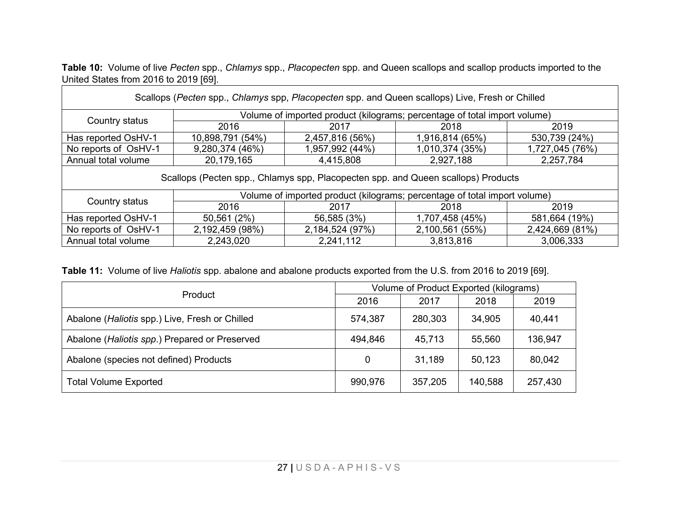| Table 10: Volume of live Pecten spp., Chlamys spp., Placopecten spp. and Queen scallops and scallop products imported to the |  |  |  |
|------------------------------------------------------------------------------------------------------------------------------|--|--|--|
| United States from 2016 to 2019 [69].                                                                                        |  |  |  |

| Scallops (Pecten spp., Chlamys spp, Placopecten spp. and Queen scallops) Live, Fresh or Chilled |                                                                                   |                 |                                                                           |                 |  |  |  |
|-------------------------------------------------------------------------------------------------|-----------------------------------------------------------------------------------|-----------------|---------------------------------------------------------------------------|-----------------|--|--|--|
| Volume of imported product (kilograms; percentage of total import volume)                       |                                                                                   |                 |                                                                           |                 |  |  |  |
| Country status                                                                                  | 2016                                                                              | 2017            | 2018                                                                      | 2019            |  |  |  |
| Has reported OsHV-1                                                                             | 10,898,791 (54%)                                                                  | 2,457,816 (56%) | 1,916,814 (65%)                                                           | 530,739 (24%)   |  |  |  |
| No reports of OsHV-1                                                                            | 9,280,374 (46%)                                                                   | 1,957,992 (44%) | 1,010,374 (35%)                                                           | 1,727,045 (76%) |  |  |  |
| 20,179,165<br>2,927,188<br>Annual total volume<br>2,257,784<br>4,415,808                        |                                                                                   |                 |                                                                           |                 |  |  |  |
|                                                                                                 | Scallops (Pecten spp., Chlamys spp, Placopecten spp. and Queen scallops) Products |                 |                                                                           |                 |  |  |  |
|                                                                                                 |                                                                                   |                 | Volume of imported product (kilograms; percentage of total import volume) |                 |  |  |  |
| Country status                                                                                  | 2016                                                                              | 2017            | 2018                                                                      | 2019            |  |  |  |
| Has reported OsHV-1                                                                             | 50,561 (2%)                                                                       | 56,585 (3%)     | 1,707,458 (45%)                                                           | 581,664 (19%)   |  |  |  |
| No reports of OsHV-1                                                                            | 2,192,459 (98%)                                                                   | 2,184,524 (97%) | 2,100,561 (55%)                                                           | 2,424,669 (81%) |  |  |  |
| 3,813,816<br>Annual total volume<br>2,243,020<br>2,241,112<br>3,006,333                         |                                                                                   |                 |                                                                           |                 |  |  |  |

| Table 11: Volume of live Haliotis spp. abalone and abalone products exported from the U.S. from 2016 to 2019 [69]. |  |
|--------------------------------------------------------------------------------------------------------------------|--|
|--------------------------------------------------------------------------------------------------------------------|--|

| Product                                        | Volume of Product Exported (kilograms) |         |         |         |  |
|------------------------------------------------|----------------------------------------|---------|---------|---------|--|
|                                                | 2016                                   | 2017    | 2018    | 2019    |  |
| Abalone (Haliotis spp.) Live, Fresh or Chilled | 574,387                                | 280,303 | 34,905  | 40,441  |  |
| Abalone (Haliotis spp.) Prepared or Preserved  | 494,846                                | 45,713  | 55,560  | 136,947 |  |
| Abalone (species not defined) Products         | 0                                      | 31,189  | 50,123  | 80,042  |  |
| <b>Total Volume Exported</b>                   | 990,976                                | 357,205 | 140,588 | 257,430 |  |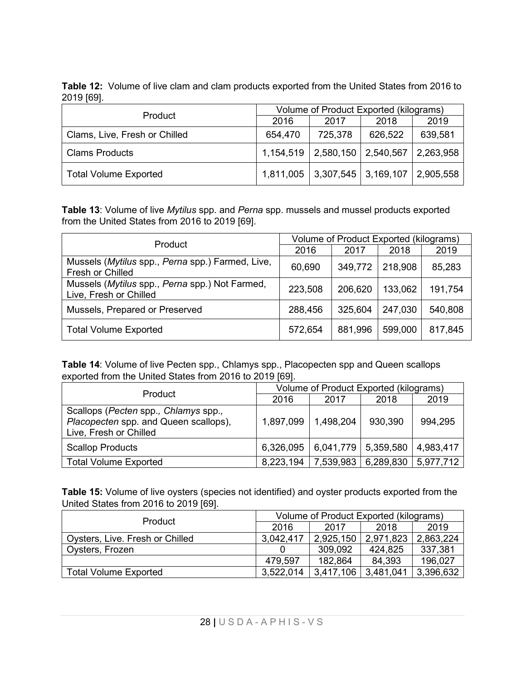**Table 12:** Volume of live clam and clam products exported from the United States from 2016 to 2019 [69].

| <b>Product</b>                | Volume of Product Exported (kilograms) |                                     |         |           |  |
|-------------------------------|----------------------------------------|-------------------------------------|---------|-----------|--|
|                               | 2016                                   | 2017                                | 2018    | 2019      |  |
| Clams, Live, Fresh or Chilled | 654,470                                | 725,378                             | 626,522 | 639,581   |  |
| <b>Clams Products</b>         | 1,154,519                              | $2,580,150$   2,540,567             |         | 2,263,958 |  |
| <b>Total Volume Exported</b>  |                                        | $1,811,005$   3,307,545   3,169,107 |         | 2,905,558 |  |

**Table 13**: Volume of live *Mytilus* spp. and *Perna* spp. mussels and mussel products exported from the United States from 2016 to 2019 [69].

| Product                                                                  | Volume of Product Exported (kilograms) |         |         |         |
|--------------------------------------------------------------------------|----------------------------------------|---------|---------|---------|
|                                                                          | 2016                                   | 2017    | 2018    | 2019    |
| Mussels (Mytilus spp., Perna spp.) Farmed, Live,<br>Fresh or Chilled     | 60,690                                 | 349,772 | 218,908 | 85,283  |
| Mussels (Mytilus spp., Perna spp.) Not Farmed,<br>Live, Fresh or Chilled | 223,508                                | 206,620 | 133,062 | 191,754 |
| Mussels, Prepared or Preserved                                           | 288,456                                | 325,604 | 247,030 | 540,808 |
| <b>Total Volume Exported</b>                                             | 572,654                                | 881,996 | 599,000 | 817,845 |

**Table 14**: Volume of live Pecten spp., Chlamys spp., Placopecten spp and Queen scallops exported from the United States from 2016 to 2019 [69].

| Product                                                                                                 | Volume of Product Exported (kilograms) |           |                       |           |  |
|---------------------------------------------------------------------------------------------------------|----------------------------------------|-----------|-----------------------|-----------|--|
|                                                                                                         | 2016                                   | 2017      | 2018                  | 2019      |  |
| Scallops (Pecten spp., Chlamys spp.,<br>Placopecten spp. and Queen scallops),<br>Live, Fresh or Chilled | 1,897,099                              | 1,498,204 | 930,390               | 994,295   |  |
| <b>Scallop Products</b>                                                                                 | 6,326,095                              |           | $6,041,779$ 5,359,580 | 4,983,417 |  |
| <b>Total Volume Exported</b>                                                                            | 8,223,194                              |           | 7,539,983   6,289,830 | 5,977,712 |  |

**Table 15:** Volume of live oysters (species not identified) and oyster products exported from the United States from 2016 to 2019 [69].

| <b>Product</b>                  | Volume of Product Exported (kilograms) |           |           |           |  |
|---------------------------------|----------------------------------------|-----------|-----------|-----------|--|
|                                 | 2016                                   | 2017      | 2018      | 2019      |  |
| Oysters, Live. Fresh or Chilled | 3,042,417                              | 2,925,150 | 2,971,823 | 2,863,224 |  |
| Oysters, Frozen                 |                                        | 309,092   | 424,825   | 337,381   |  |
|                                 | 479.597                                | 182,864   | 84,393    | 196,027   |  |
| <b>Total Volume Exported</b>    | 3,522,014                              | 3,417,106 | 3,481,041 | 3,396,632 |  |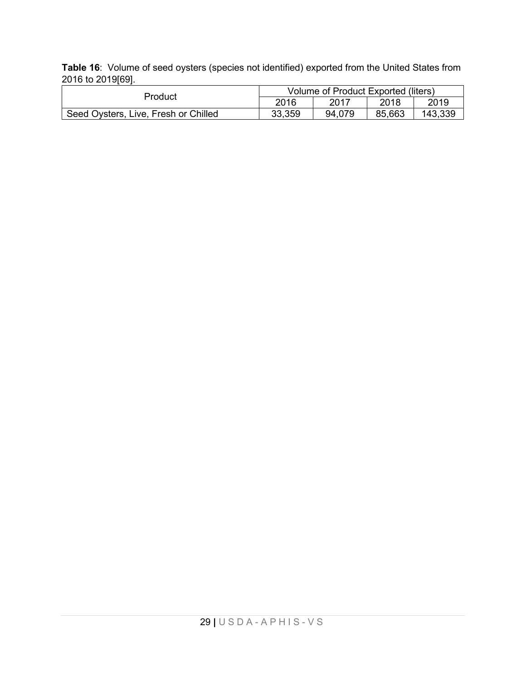**Table 16**: Volume of seed oysters (species not identified) exported from the United States from 2016 to 2019[69].

| Product                              | Volume of Product Exported (liters) |        |        |         |
|--------------------------------------|-------------------------------------|--------|--------|---------|
|                                      | 2016                                | 2017   | 2018   | 2019    |
| Seed Oysters, Live, Fresh or Chilled | 33,359                              | 94.079 | 85,663 | 143,339 |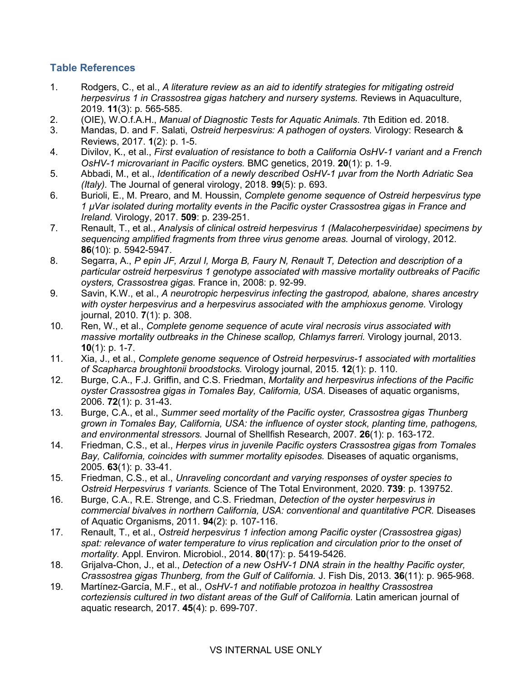### **Table References**

- 1. Rodgers, C., et al., *A literature review as an aid to identify strategies for mitigating ostreid herpesvirus 1 in Crassostrea gigas hatchery and nursery systems.* Reviews in Aquaculture, 2019. **11**(3): p. 565-585.
- 2. (OIE), W.O.f.A.H., *Manual of Diagnostic Tests for Aquatic Animals*. 7th Edition ed. 2018.
- 3. Mandas, D. and F. Salati, *Ostreid herpesvirus: A pathogen of oysters.* Virology: Research & Reviews, 2017. **1**(2): p. 1-5.
- 4. Divilov, K., et al., *First evaluation of resistance to both a California OsHV-1 variant and a French OsHV-1 microvariant in Pacific oysters.* BMC genetics, 2019. **20**(1): p. 1-9.
- 5. Abbadi, M., et al., *Identification of a newly described OsHV-1 µvar from the North Adriatic Sea (Italy).* The Journal of general virology, 2018. **99**(5): p. 693.
- 6. Burioli, E., M. Prearo, and M. Houssin, *Complete genome sequence of Ostreid herpesvirus type 1 µVar isolated during mortality events in the Pacific oyster Crassostrea gigas in France and Ireland.* Virology, 2017. **509**: p. 239-251.
- 7. Renault, T., et al., *Analysis of clinical ostreid herpesvirus 1 (Malacoherpesviridae) specimens by sequencing amplified fragments from three virus genome areas.* Journal of virology, 2012. **86**(10): p. 5942-5947.
- 8. Segarra, A., *P epin JF, Arzul I, Morga B, Faury N, Renault T, Detection and description of a particular ostreid herpesvirus 1 genotype associated with massive mortality outbreaks of Pacific oysters, Crassostrea gigas.* France in, 2008: p. 92-99.
- 9. Savin, K.W., et al., *A neurotropic herpesvirus infecting the gastropod, abalone, shares ancestry with oyster herpesvirus and a herpesvirus associated with the amphioxus genome.* Virology journal, 2010. **7**(1): p. 308.
- 10. Ren, W., et al., *Complete genome sequence of acute viral necrosis virus associated with massive mortality outbreaks in the Chinese scallop, Chlamys farreri.* Virology journal, 2013. **10**(1): p. 1-7.
- 11. Xia, J., et al., *Complete genome sequence of Ostreid herpesvirus-1 associated with mortalities of Scapharca broughtonii broodstocks.* Virology journal, 2015. **12**(1): p. 110.
- 12. Burge, C.A., F.J. Griffin, and C.S. Friedman, *Mortality and herpesvirus infections of the Pacific oyster Crassostrea gigas in Tomales Bay, California, USA.* Diseases of aquatic organisms, 2006. **72**(1): p. 31-43.
- 13. Burge, C.A., et al., *Summer seed mortality of the Pacific oyster, Crassostrea gigas Thunberg grown in Tomales Bay, California, USA: the influence of oyster stock, planting time, pathogens, and environmental stressors.* Journal of Shellfish Research, 2007. **26**(1): p. 163-172.
- 14. Friedman, C.S., et al., *Herpes virus in juvenile Pacific oysters Crassostrea gigas from Tomales Bay, California, coincides with summer mortality episodes.* Diseases of aquatic organisms, 2005. **63**(1): p. 33-41.
- 15. Friedman, C.S., et al., *Unraveling concordant and varying responses of oyster species to Ostreid Herpesvirus 1 variants.* Science of The Total Environment, 2020. **739**: p. 139752.
- 16. Burge, C.A., R.E. Strenge, and C.S. Friedman, *Detection of the oyster herpesvirus in commercial bivalves in northern California, USA: conventional and quantitative PCR.* Diseases of Aquatic Organisms, 2011. **94**(2): p. 107-116.
- 17. Renault, T., et al., *Ostreid herpesvirus 1 infection among Pacific oyster (Crassostrea gigas) spat: relevance of water temperature to virus replication and circulation prior to the onset of mortality.* Appl. Environ. Microbiol., 2014. **80**(17): p. 5419-5426.
- 18. Grijalva-Chon, J., et al., *Detection of a new OsHV-1 DNA strain in the healthy Pacific oyster, Crassostrea gigas Thunberg, from the Gulf of California.* J. Fish Dis, 2013. **36**(11): p. 965-968.
- 19. Martínez-García, M.F., et al., *OsHV-1 and notifiable protozoa in healthy Crassostrea corteziensis cultured in two distant areas of the Gulf of California.* Latin american journal of aquatic research, 2017. **45**(4): p. 699-707.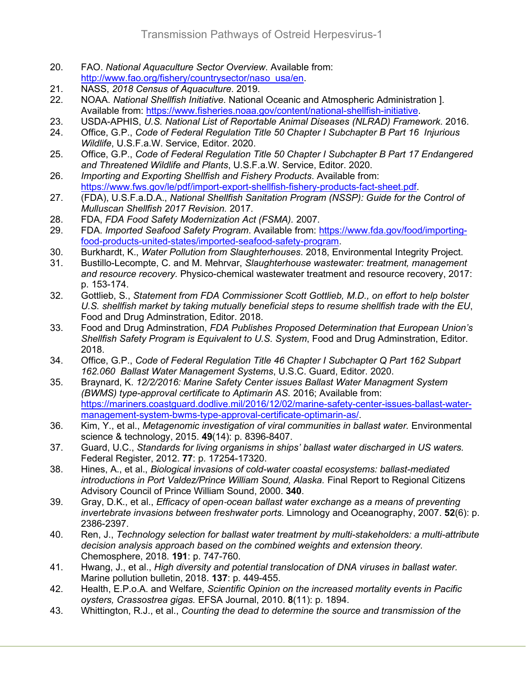- 20. FAO. *National Aquaculture Sector Overview*. Available from: [http://www.fao.org/fishery/countrysector/naso\\_usa/en.](http://www.fao.org/fishery/countrysector/naso_usa/en)
- 21. NASS, *2018 Census of Aquaculture*. 2019.
- 22. NOAA. *National Shellfish Initiative*. National Oceanic and Atmospheric Administration ]. Available from: [https://www.fisheries.noaa.gov/content/national-shellfish-initiative.](https://www.fisheries.noaa.gov/content/national-shellfish-initiative)
- 23. USDA-APHIS, *U.S. National List of Reportable Animal Diseases (NLRAD) Framework*. 2016.
- 24. Office, G.P., *Code of Federal Regulation Title 50 Chapter I Subchapter B Part 16 Injurious Wildlife*, U.S.F.a.W. Service, Editor. 2020.
- 25. Office, G.P., *Code of Federal Regulation Title 50 Chapter I Subchapter B Part 17 Endangered and Threatened Wildlife and Plants*, U.S.F.a.W. Service, Editor. 2020.
- 26. *Importing and Exporting Shellfish and Fishery Products*. Available from: [https://www.fws.gov/le/pdf/import-export-shellfish-fishery-products-fact-sheet.pdf.](https://www.fws.gov/le/pdf/import-export-shellfish-fishery-products-fact-sheet.pdf)
- 27. (FDA), U.S.F.a.D.A., *National Shellfish Sanitation Program (NSSP): Guide for the Control of Mulluscan Shellfish 2017 Revision.* 2017.
- 28. FDA, *FDA Food Safety Modernization Act (FSMA).* 2007.
- 29. FDA. *Imported Seafood Safety Program*. Available from: [https://www.fda.gov/food/importing](https://www.fda.gov/food/importing-food-products-united-states/imported-seafood-safety-program)[food-products-united-states/imported-seafood-safety-program.](https://www.fda.gov/food/importing-food-products-united-states/imported-seafood-safety-program)
- 30. Burkhardt, K., *Water Pollution from Slaughterhouses*. 2018, Environmental Integrity Project.
- 31. Bustillo-Lecompte, C. and M. Mehrvar, *Slaughterhouse wastewater: treatment, management and resource recovery.* Physico-chemical wastewater treatment and resource recovery, 2017: p. 153-174.
- 32. Gottlieb, S., *Statement from FDA Commissioner Scott Gottlieb, M.D., on effort to help bolster U.S. shellfish market by taking mutually beneficial steps to resume shellfish trade with the EU*, Food and Drug Adminstration, Editor. 2018.
- 33. Food and Drug Adminstration, *FDA Publishes Proposed Determination that European Union's Shellfish Safety Program is Equivalent to U.S. System*, Food and Drug Adminstration, Editor. 2018.
- 34. Office, G.P., *Code of Federal Regulation Title 46 Chapter I Subchapter Q Part 162 Subpart 162.060 Ballast Water Management Systems*, U.S.C. Guard, Editor. 2020.
- 35. Braynard, K. *12/2/2016: Marine Safety Center issues Ballast Water Managment System (BWMS) type-approval certificate to Aptimarin AS*. 2016; Available from: [https://mariners.coastguard.dodlive.mil/2016/12/02/marine-safety-center-issues-ballast-water](https://mariners.coastguard.dodlive.mil/2016/12/02/marine-safety-center-issues-ballast-water-management-system-bwms-type-approval-certificate-optimarin-as/)[management-system-bwms-type-approval-certificate-optimarin-as/.](https://mariners.coastguard.dodlive.mil/2016/12/02/marine-safety-center-issues-ballast-water-management-system-bwms-type-approval-certificate-optimarin-as/)
- 36. Kim, Y., et al., *Metagenomic investigation of viral communities in ballast water.* Environmental science & technology, 2015. **49**(14): p. 8396-8407.
- 37. Guard, U.C., *Standards for living organisms in ships' ballast water discharged in US waters.* Federal Register, 2012. **77**: p. 17254-17320.
- 38. Hines, A., et al., *Biological invasions of cold-water coastal ecosystems: ballast-mediated introductions in Port Valdez/Prince William Sound, Alaska.* Final Report to Regional Citizens Advisory Council of Prince William Sound, 2000. **340**.
- 39. Gray, D.K., et al., *Efficacy of open*‐*ocean ballast water exchange as a means of preventing invertebrate invasions between freshwater ports.* Limnology and Oceanography, 2007. **52**(6): p. 2386-2397.
- 40. Ren, J., *Technology selection for ballast water treatment by multi-stakeholders: a multi-attribute decision analysis approach based on the combined weights and extension theory.* Chemosphere, 2018. **191**: p. 747-760.
- 41. Hwang, J., et al., *High diversity and potential translocation of DNA viruses in ballast water.* Marine pollution bulletin, 2018. **137**: p. 449-455.
- 42. Health, E.P.o.A. and Welfare, *Scientific Opinion on the increased mortality events in Pacific oysters, Crassostrea gigas.* EFSA Journal, 2010. **8**(11): p. 1894.
- 43. Whittington, R.J., et al., *Counting the dead to determine the source and transmission of the*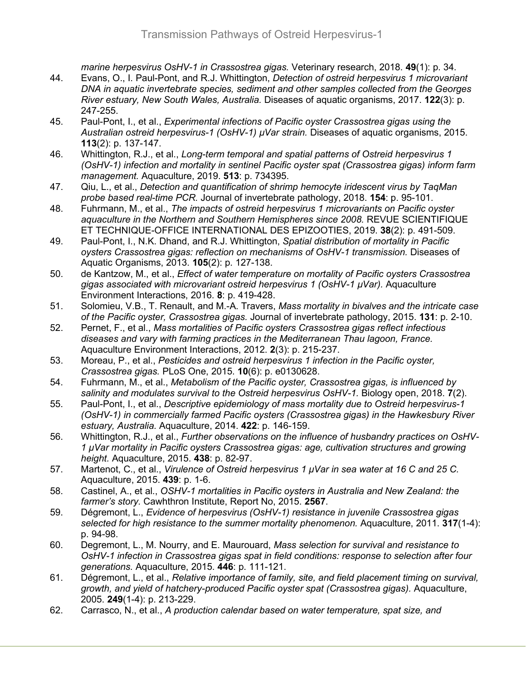*marine herpesvirus OsHV-1 in Crassostrea gigas.* Veterinary research, 2018. **49**(1): p. 34.

- 44. Evans, O., I. Paul-Pont, and R.J. Whittington, *Detection of ostreid herpesvirus 1 microvariant DNA in aquatic invertebrate species, sediment and other samples collected from the Georges River estuary, New South Wales, Australia.* Diseases of aquatic organisms, 2017. **122**(3): p. 247-255.
- 45. Paul-Pont, I., et al., *Experimental infections of Pacific oyster Crassostrea gigas using the Australian ostreid herpesvirus-1 (OsHV-1) µVar strain.* Diseases of aquatic organisms, 2015. **113**(2): p. 137-147.
- 46. Whittington, R.J., et al., *Long-term temporal and spatial patterns of Ostreid herpesvirus 1 (OsHV-1) infection and mortality in sentinel Pacific oyster spat (Crassostrea gigas) inform farm management.* Aquaculture, 2019. **513**: p. 734395.
- 47. Qiu, L., et al., *Detection and quantification of shrimp hemocyte iridescent virus by TaqMan probe based real-time PCR.* Journal of invertebrate pathology, 2018. **154**: p. 95-101.
- 48. Fuhrmann, M., et al., *The impacts of ostreid herpesvirus 1 microvariants on Pacific oyster aquaculture in the Northern and Southern Hemispheres since 2008.* REVUE SCIENTIFIQUE ET TECHNIQUE-OFFICE INTERNATIONAL DES EPIZOOTIES, 2019. **38**(2): p. 491-509.
- 49. Paul-Pont, I., N.K. Dhand, and R.J. Whittington, *Spatial distribution of mortality in Pacific oysters Crassostrea gigas: reflection on mechanisms of OsHV-1 transmission.* Diseases of Aquatic Organisms, 2013. **105**(2): p. 127-138.
- 50. de Kantzow, M., et al., *Effect of water temperature on mortality of Pacific oysters Crassostrea gigas associated with microvariant ostreid herpesvirus 1 (OsHV-1 µVar).* Aquaculture Environment Interactions, 2016. **8**: p. 419-428.
- 51. Solomieu, V.B., T. Renault, and M.-A. Travers, *Mass mortality in bivalves and the intricate case of the Pacific oyster, Crassostrea gigas.* Journal of invertebrate pathology, 2015. **131**: p. 2-10.
- 52. Pernet, F., et al., *Mass mortalities of Pacific oysters Crassostrea gigas reflect infectious diseases and vary with farming practices in the Mediterranean Thau lagoon, France.* Aquaculture Environment Interactions, 2012. **2**(3): p. 215-237.
- 53. Moreau, P., et al., *Pesticides and ostreid herpesvirus 1 infection in the Pacific oyster, Crassostrea gigas.* PLoS One, 2015. **10**(6): p. e0130628.
- 54. Fuhrmann, M., et al., *Metabolism of the Pacific oyster, Crassostrea gigas, is influenced by salinity and modulates survival to the Ostreid herpesvirus OsHV-1.* Biology open, 2018. **7**(2).
- 55. Paul-Pont, I., et al., *Descriptive epidemiology of mass mortality due to Ostreid herpesvirus-1 (OsHV-1) in commercially farmed Pacific oysters (Crassostrea gigas) in the Hawkesbury River estuary, Australia.* Aquaculture, 2014. **422**: p. 146-159.
- 56. Whittington, R.J., et al., *Further observations on the influence of husbandry practices on OsHV-1 μVar mortality in Pacific oysters Crassostrea gigas: age, cultivation structures and growing height.* Aquaculture, 2015. **438**: p. 82-97.
- 57. Martenot, C., et al., *Virulence of Ostreid herpesvirus 1 μVar in sea water at 16 C and 25 C.* Aquaculture, 2015. **439**: p. 1-6.
- 58. Castinel, A., et al., *OSHV-1 mortalities in Pacific oysters in Australia and New Zealand: the farmer's story.* Cawhthron Institute, Report No, 2015. **2567**.
- 59. Dégremont, L., *Evidence of herpesvirus (OsHV-1) resistance in juvenile Crassostrea gigas selected for high resistance to the summer mortality phenomenon.* Aquaculture, 2011. **317**(1-4): p. 94-98.
- 60. Degremont, L., M. Nourry, and E. Maurouard, *Mass selection for survival and resistance to OsHV-1 infection in Crassostrea gigas spat in field conditions: response to selection after four generations.* Aquaculture, 2015. **446**: p. 111-121.
- 61. Dégremont, L., et al., *Relative importance of family, site, and field placement timing on survival, growth, and yield of hatchery-produced Pacific oyster spat (Crassostrea gigas).* Aquaculture, 2005. **249**(1-4): p. 213-229.
- 62. Carrasco, N., et al., *A production calendar based on water temperature, spat size, and*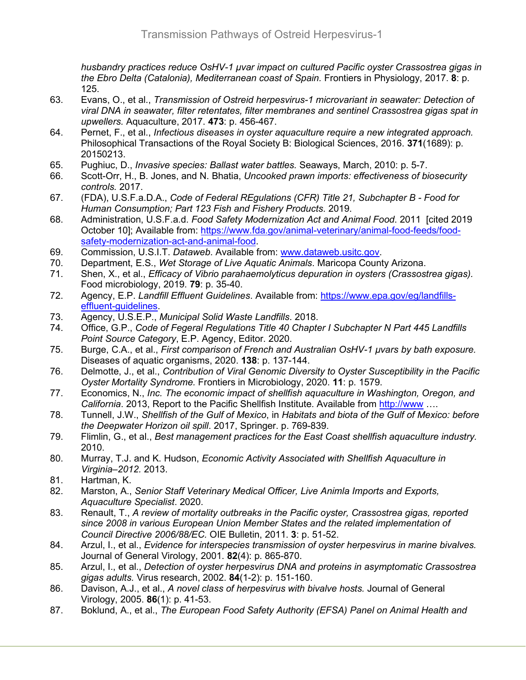*husbandry practices reduce OsHV-1 μvar impact on cultured Pacific oyster Crassostrea gigas in the Ebro Delta (Catalonia), Mediterranean coast of Spain.* Frontiers in Physiology, 2017. **8**: p. 125.

- 63. Evans, O., et al., *Transmission of Ostreid herpesvirus-1 microvariant in seawater: Detection of viral DNA in seawater, filter retentates, filter membranes and sentinel Crassostrea gigas spat in upwellers.* Aquaculture, 2017. **473**: p. 456-467.
- 64. Pernet, F., et al., *Infectious diseases in oyster aquaculture require a new integrated approach.* Philosophical Transactions of the Royal Society B: Biological Sciences, 2016. **371**(1689): p. 20150213.
- 65. Pughiuc, D., *Invasive species: Ballast water battles.* Seaways, March, 2010: p. 5-7.
- 66. Scott-Orr, H., B. Jones, and N. Bhatia, *Uncooked prawn imports: effectiveness of biosecurity controls.* 2017.
- 67. (FDA), U.S.F.a.D.A., *Code of Federal REgulations (CFR) Title 21, Subchapter B - Food for Human Consumption; Part 123 Fish and Fishery Products*. 2019.
- 68. Administration, U.S.F.a.d. *Food Safety Modernization Act and Animal Food*. 2011 [cited 2019 October 10]; Available from: [https://www.fda.gov/animal-veterinary/animal-food-feeds/food](https://www.fda.gov/animal-veterinary/animal-food-feeds/food-safety-modernization-act-and-animal-food)[safety-modernization-act-and-animal-food.](https://www.fda.gov/animal-veterinary/animal-food-feeds/food-safety-modernization-act-and-animal-food)
- 69. Commission, U.S.I.T. *Dataweb*. Available from: www.dataweb.usitc.gov.<br>70. Department, E.S., Wet Storage of Live Aguatic Animals. Maricopa Count
- 70. Department, E.S., *Wet Storage of Live Aquatic Animals*. Maricopa County Arizona.
- 71. Shen, X., et al., *Efficacy of Vibrio parahaemolyticus depuration in oysters (Crassostrea gigas).* Food microbiology, 2019. **79**: p. 35-40.
- 72. Agency, E.P. *Landfill Effluent Guidelines*. Available from: [https://www.epa.gov/eg/landfills](https://www.epa.gov/eg/landfills-effluent-guidelines)[effluent-guidelines.](https://www.epa.gov/eg/landfills-effluent-guidelines)
- 73. Agency, U.S.E.P., *Municipal Solid Waste Landfills*. 2018.
- 74. Office, G.P., *Code of Fegeral Regulations Title 40 Chapter I Subchapter N Part 445 Landfills Point Source Category*, E.P. Agency, Editor. 2020.
- 75. Burge, C.A., et al., *First comparison of French and Australian OsHV-1 µvars by bath exposure.* Diseases of aquatic organisms, 2020. **138**: p. 137-144.
- 76. Delmotte, J., et al., *Contribution of Viral Genomic Diversity to Oyster Susceptibility in the Pacific Oyster Mortality Syndrome.* Frontiers in Microbiology, 2020. **11**: p. 1579.
- 77. Economics, N., *Inc. The economic impact of shellfish aquaculture in Washington, Oregon, and California*. 2013, Report to the Pacific Shellfish Institute. Available from [http://www](http://www/) ….
- 78. Tunnell, J.W., *Shellfish of the Gulf of Mexico*, in *Habitats and biota of the Gulf of Mexico: before the Deepwater Horizon oil spill*. 2017, Springer. p. 769-839.
- 79. Flimlin, G., et al., *Best management practices for the East Coast shellfish aquaculture industry.* 2010.
- 80. Murray, T.J. and K. Hudson, *Economic Activity Associated with Shellfish Aquaculture in Virginia–2012.* 2013.
- 81. Hartman, K.<br>82. Marston, A.,
- 82. Marston, A., *Senior Staff Veterinary Medical Officer, Live Animla Imports and Exports, Aquaculture Specialist*. 2020.
- 83. Renault, T., *A review of mortality outbreaks in the Pacific oyster, Crassostrea gigas, reported since 2008 in various European Union Member States and the related implementation of Council Directive 2006/88/EC.* OIE Bulletin, 2011. **3**: p. 51-52.
- 84. Arzul, I., et al., *Evidence for interspecies transmission of oyster herpesvirus in marine bivalves.* Journal of General Virology, 2001. **82**(4): p. 865-870.
- 85. Arzul, I., et al., *Detection of oyster herpesvirus DNA and proteins in asymptomatic Crassostrea gigas adults.* Virus research, 2002. **84**(1-2): p. 151-160.
- 86. Davison, A.J., et al., *A novel class of herpesvirus with bivalve hosts.* Journal of General Virology, 2005. **86**(1): p. 41-53.
- 87. Boklund, A., et al., *The European Food Safety Authority (EFSA) Panel on Animal Health and*